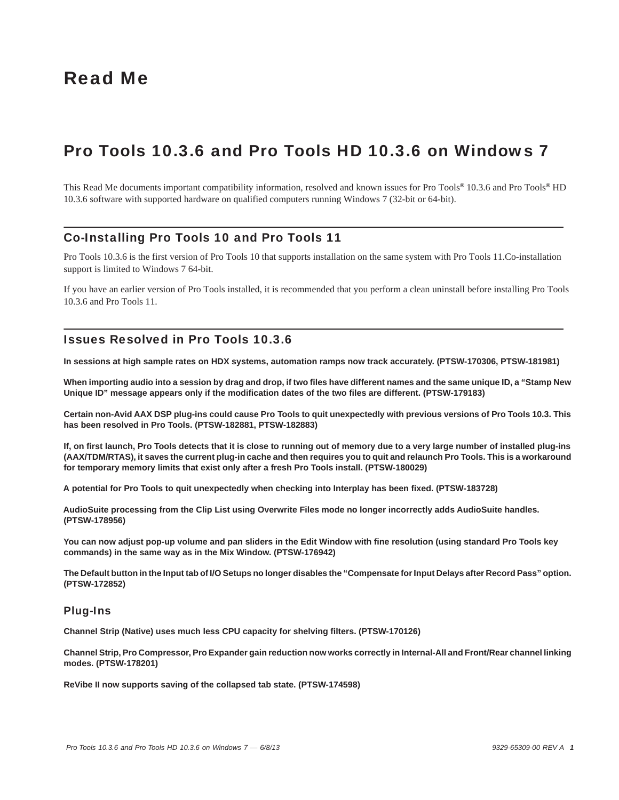# Read Me

# Pro Tools 10.3.6 and Pro Tools HD 10.3.6 on Windows 7

This Read Me documents important compatibility information, resolved and known issues for Pro Tools*®* 10.3.6 and Pro Tools*®* HD 10.3.6 software with supported hardware on qualified computers running Windows 7 (32-bit or 64-bit).

# Co-Installing Pro Tools 10 and Pro Tools 11

Pro Tools 10.3.6 is the first version of Pro Tools 10 that supports installation on the same system with Pro Tools 11.Co-installation support is limited to Windows 7 64-bit.

If you have an earlier version of Pro Tools installed, it is recommended that you perform a clean uninstall before installing Pro Tools 10.3.6 and Pro Tools 11.

# Issues Resolved in Pro Tools 10.3.6

**In sessions at high sample rates on HDX systems, automation ramps now track accurately. (PTSW-170306, PTSW-181981)**

**When importing audio into a session by drag and drop, if two files have different names and the same unique ID, a "Stamp New Unique ID" message appears only if the modification dates of the two files are different. (PTSW-179183)**

**Certain non-Avid AAX DSP plug-ins could cause Pro Tools to quit unexpectedly with previous versions of Pro Tools 10.3. This has been resolved in Pro Tools. (PTSW-182881, PTSW-182883)**

**If, on first launch, Pro Tools detects that it is close to running out of memory due to a very large number of installed plug-ins (AAX/TDM/RTAS), it saves the current plug-in cache and then requires you to quit and relaunch Pro Tools. This is a workaround for temporary memory limits that exist only after a fresh Pro Tools install. (PTSW-180029)**

**A potential for Pro Tools to quit unexpectedly when checking into Interplay has been fixed. (PTSW-183728)** 

**AudioSuite processing from the Clip List using Overwrite Files mode no longer incorrectly adds AudioSuite handles. (PTSW-178956)**

**You can now adjust pop-up volume and pan sliders in the Edit Window with fine resolution (using standard Pro Tools key commands) in the same way as in the Mix Window. (PTSW-176942)**

**The Default button in the Input tab of I/O Setups no longer disables the "Compensate for Input Delays after Record Pass" option. (PTSW-172852)**

# Plug-Ins

**Channel Strip (Native) uses much less CPU capacity for shelving filters. (PTSW-170126)**

**Channel Strip, Pro Compressor, Pro Expander gain reduction now works correctly in Internal-All and Front/Rear channel linking modes. (PTSW-178201)**

**ReVibe II now supports saving of the collapsed tab state. (PTSW-174598)**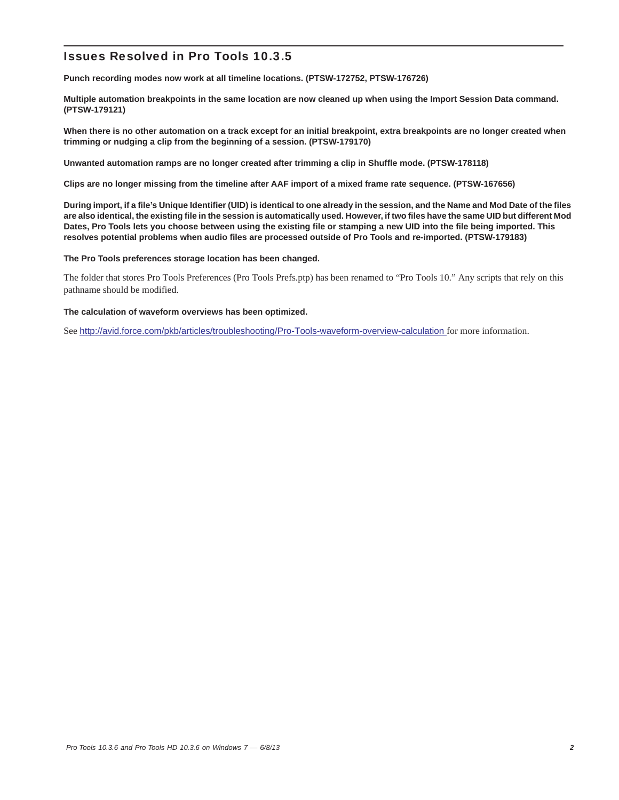**Punch recording modes now work at all timeline locations. (PTSW-172752, PTSW-176726)**

**Multiple automation breakpoints in the same location are now cleaned up when using the Import Session Data command. (PTSW-179121)**

**When there is no other automation on a track except for an initial breakpoint, extra breakpoints are no longer created when trimming or nudging a clip from the beginning of a session. (PTSW-179170)**

**Unwanted automation ramps are no longer created after trimming a clip in Shuffle mode. (PTSW-178118)**

**Clips are no longer missing from the timeline after AAF import of a mixed frame rate sequence. (PTSW-167656)**

**During import, if a file's Unique Identifier (UID) is identical to one already in the session, and the Name and Mod Date of the files are also identical, the existing file in the session is automatically used. However, if two files have the same UID but different Mod Dates, Pro Tools lets you choose between using the existing file or stamping a new UID into the file being imported. This resolves potential problems when audio files are processed outside of Pro Tools and re-imported. (PTSW-179183)**

**The Pro Tools preferences storage location has been changed.**

The folder that stores Pro Tools Preferences (Pro Tools Prefs.ptp) has been renamed to "Pro Tools 10." Any scripts that rely on this pathname should be modified.

### **The calculation of waveform overviews has been optimized.**

See <http://avid.force.com/pkb/articles/troubleshooting/Pro-Tools-waveform-overview-calculation>for more information.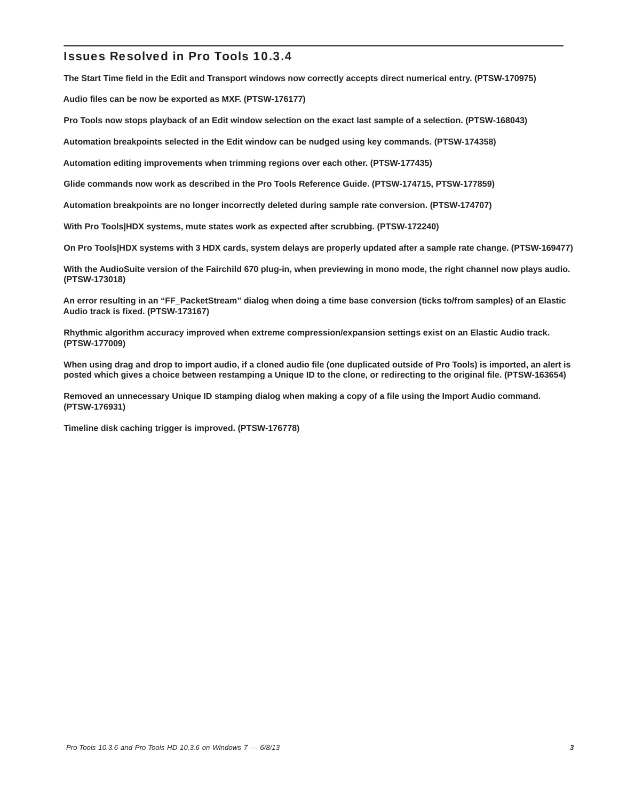**The Start Time field in the Edit and Transport windows now correctly accepts direct numerical entry. (PTSW-170975)**

**Audio files can be now be exported as MXF. (PTSW-176177)**

**Pro Tools now stops playback of an Edit window selection on the exact last sample of a selection. (PTSW-168043)**

**Automation breakpoints selected in the Edit window can be nudged using key commands. (PTSW-174358)**

**Automation editing improvements when trimming regions over each other. (PTSW-177435)**

**Glide commands now work as described in the Pro Tools Reference Guide. (PTSW-174715, PTSW-177859)**

**Automation breakpoints are no longer incorrectly deleted during sample rate conversion. (PTSW-174707)**

**With Pro Tools|HDX systems, mute states work as expected after scrubbing. (PTSW-172240)**

**On Pro Tools|HDX systems with 3 HDX cards, system delays are properly updated after a sample rate change. (PTSW-169477)**

**With the AudioSuite version of the Fairchild 670 plug-in, when previewing in mono mode, the right channel now plays audio. (PTSW-173018)**

**An error resulting in an "FF\_PacketStream" dialog when doing a time base conversion (ticks to/from samples) of an Elastic Audio track is fixed. (PTSW-173167)**

**Rhythmic algorithm accuracy improved when extreme compression/expansion settings exist on an Elastic Audio track. (PTSW-177009)**

**When using drag and drop to import audio, if a cloned audio file (one duplicated outside of Pro Tools) is imported, an alert is posted which gives a choice between restamping a Unique ID to the clone, or redirecting to the original file. (PTSW-163654)**

**Removed an unnecessary Unique ID stamping dialog when making a copy of a file using the Import Audio command. (PTSW-176931)**

**Timeline disk caching trigger is improved. (PTSW-176778)**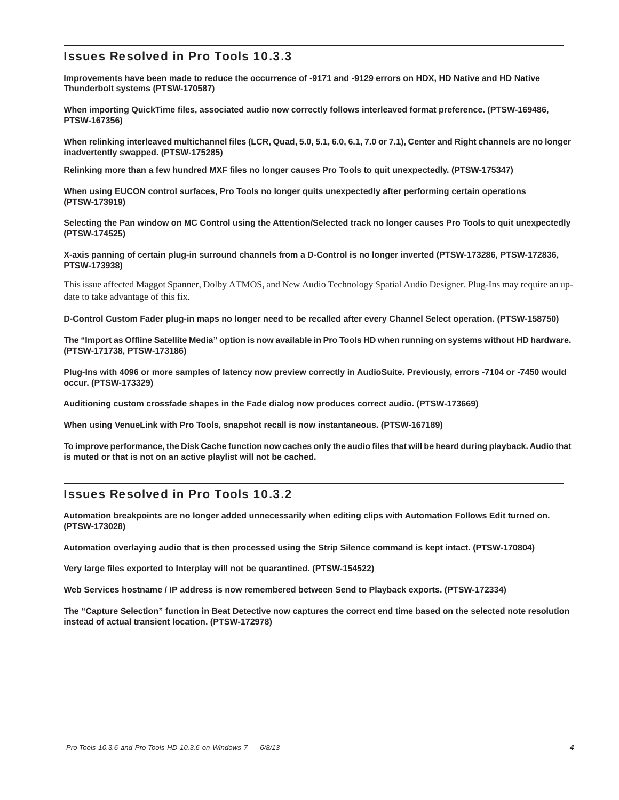**Improvements have been made to reduce the occurrence of -9171 and -9129 errors on HDX, HD Native and HD Native Thunderbolt systems (PTSW-170587)**

**When importing QuickTime files, associated audio now correctly follows interleaved format preference. (PTSW-169486, PTSW-167356)**

**When relinking interleaved multichannel files (LCR, Quad, 5.0, 5.1, 6.0, 6.1, 7.0 or 7.1), Center and Right channels are no longer inadvertently swapped. (PTSW-175285)**

**Relinking more than a few hundred MXF files no longer causes Pro Tools to quit unexpectedly. (PTSW-175347)**

**When using EUCON control surfaces, Pro Tools no longer quits unexpectedly after performing certain operations (PTSW-173919)**

**Selecting the Pan window on MC Control using the Attention/Selected track no longer causes Pro Tools to quit unexpectedly (PTSW-174525)**

**X-axis panning of certain plug-in surround channels from a D-Control is no longer inverted (PTSW-173286, PTSW-172836, PTSW-173938)**

This issue affected Maggot Spanner, Dolby ATMOS, and New Audio Technology Spatial Audio Designer. Plug-Ins may require an update to take advantage of this fix.

**D-Control Custom Fader plug-in maps no longer need to be recalled after every Channel Select operation. (PTSW-158750)**

**The "Import as Offline Satellite Media" option is now available in Pro Tools HD when running on systems without HD hardware. (PTSW-171738, PTSW-173186)**

**Plug-Ins with 4096 or more samples of latency now preview correctly in AudioSuite. Previously, errors -7104 or -7450 would occur. (PTSW-173329)**

**Auditioning custom crossfade shapes in the Fade dialog now produces correct audio. (PTSW-173669)**

**When using VenueLink with Pro Tools, snapshot recall is now instantaneous. (PTSW-167189)**

**To improve performance, the Disk Cache function now caches only the audio files that will be heard during playback. Audio that is muted or that is not on an active playlist will not be cached.**

# Issues Resolved in Pro Tools 10.3.2

**Automation breakpoints are no longer added unnecessarily when editing clips with Automation Follows Edit turned on. (PTSW-173028)**

**Automation overlaying audio that is then processed using the Strip Silence command is kept intact. (PTSW-170804)**

**Very large files exported to Interplay will not be quarantined. (PTSW-154522)**

**Web Services hostname / IP address is now remembered between Send to Playback exports. (PTSW-172334)**

**The "Capture Selection" function in Beat Detective now captures the correct end time based on the selected note resolution instead of actual transient location. (PTSW-172978)**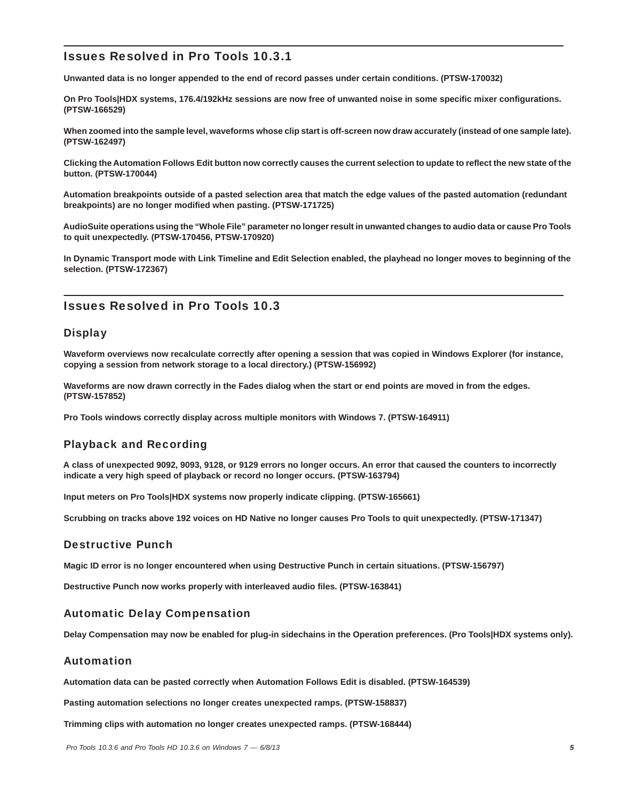**Unwanted data is no longer appended to the end of record passes under certain conditions. (PTSW-170032)**

**On Pro Tools|HDX systems, 176.4/192kHz sessions are now free of unwanted noise in some specific mixer configurations. (PTSW-166529)**

**When zoomed into the sample level, waveforms whose clip start is off-screen now draw accurately (instead of one sample late). (PTSW-162497)**

**Clicking the Automation Follows Edit button now correctly causes the current selection to update to reflect the new state of the button. (PTSW-170044)**

**Automation breakpoints outside of a pasted selection area that match the edge values of the pasted automation (redundant breakpoints) are no longer modified when pasting. (PTSW-171725)**

**AudioSuite operations using the "Whole File" parameter no longer result in unwanted changes to audio data or cause Pro Tools to quit unexpectedly. (PTSW-170456, PTSW-170920)**

**In Dynamic Transport mode with Link Timeline and Edit Selection enabled, the playhead no longer moves to beginning of the selection. (PTSW-172367)**

# Issues Resolved in Pro Tools 10.3

# **Display**

**Waveform overviews now recalculate correctly after opening a session that was copied in Windows Explorer (for instance, copying a session from network storage to a local directory.) (PTSW-156992)**

**Waveforms are now drawn correctly in the Fades dialog when the start or end points are moved in from the edges. (PTSW-157852)**

**Pro Tools windows correctly display across multiple monitors with Windows 7. (PTSW-164911)**

# Playback and Recording

**A class of unexpected 9092, 9093, 9128, or 9129 errors no longer occurs. An error that caused the counters to incorrectly indicate a very high speed of playback or record no longer occurs. (PTSW-163794)**

**Input meters on Pro Tools|HDX systems now properly indicate clipping. (PTSW-165661)**

**Scrubbing on tracks above 192 voices on HD Native no longer causes Pro Tools to quit unexpectedly. (PTSW-171347)**

# Destructive Punch

**Magic ID error is no longer encountered when using Destructive Punch in certain situations. (PTSW-156797)**

**Destructive Punch now works properly with interleaved audio files. (PTSW-163841)**

# Automatic Delay Compensation

**Delay Compensation may now be enabled for plug-in sidechains in the Operation preferences. (Pro Tools|HDX systems only).**

# Automation

**Automation data can be pasted correctly when Automation Follows Edit is disabled. (PTSW-164539)**

**Pasting automation selections no longer creates unexpected ramps. (PTSW-158837)**

**Trimming clips with automation no longer creates unexpected ramps. (PTSW-168444)**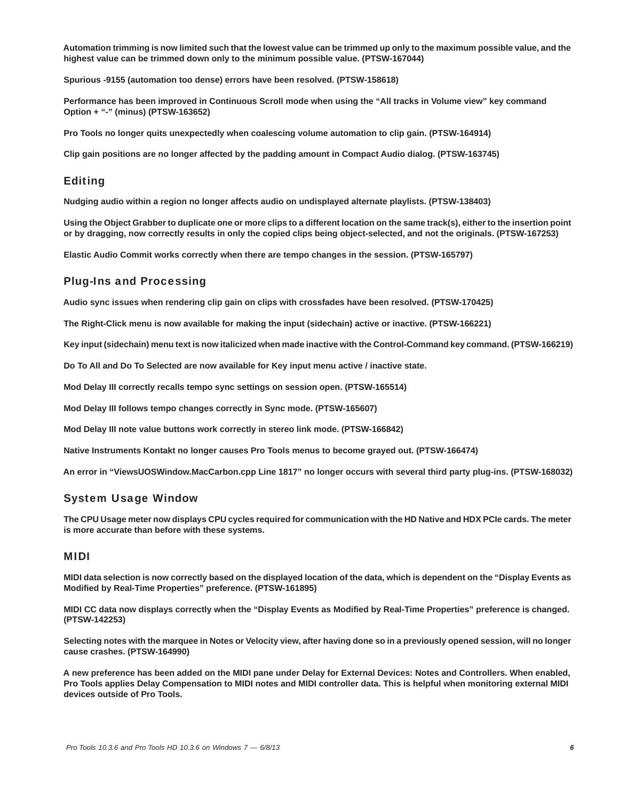**Automation trimming is now limited such that the lowest value can be trimmed up only to the maximum possible value, and the highest value can be trimmed down only to the minimum possible value. (PTSW-167044)**

**Spurious -9155 (automation too dense) errors have been resolved. (PTSW-158618)**

**Performance has been improved in Continuous Scroll mode when using the "All tracks in Volume view" key command Option + "-" (minus) (PTSW-163652)**

**Pro Tools no longer quits unexpectedly when coalescing volume automation to clip gain. (PTSW-164914)**

**Clip gain positions are no longer affected by the padding amount in Compact Audio dialog. (PTSW-163745)**

# Editing

**Nudging audio within a region no longer affects audio on undisplayed alternate playlists. (PTSW-138403)**

**Using the Object Grabber to duplicate one or more clips to a different location on the same track(s), either to the insertion point or by dragging, now correctly results in only the copied clips being object-selected, and not the originals. (PTSW-167253)**

**Elastic Audio Commit works correctly when there are tempo changes in the session. (PTSW-165797)**

# Plug-Ins and Processing

**Audio sync issues when rendering clip gain on clips with crossfades have been resolved. (PTSW-170425)**

**The Right-Click menu is now available for making the input (sidechain) active or inactive. (PTSW-166221)**

**Key input (sidechain) menu text is now italicized when made inactive with the Control-Command key command. (PTSW-166219)**

**Do To All and Do To Selected are now available for Key input menu active / inactive state.**

**Mod Delay III correctly recalls tempo sync settings on session open. (PTSW-165514)**

**Mod Delay III follows tempo changes correctly in Sync mode. (PTSW-165607)**

**Mod Delay III note value buttons work correctly in stereo link mode. (PTSW-166842)**

**Native Instruments Kontakt no longer causes Pro Tools menus to become grayed out. (PTSW-166474)**

**An error in "ViewsUOSWindow.MacCarbon.cpp Line 1817" no longer occurs with several third party plug-ins. (PTSW-168032)**

# System Usage Window

**The CPU Usage meter now displays CPU cycles required for communication with the HD Native and HDX PCIe cards. The meter is more accurate than before with these systems.** 

# MIDI

**MIDI data selection is now correctly based on the displayed location of the data, which is dependent on the "Display Events as Modified by Real-Time Properties" preference. (PTSW-161895)**

**MIDI CC data now displays correctly when the "Display Events as Modified by Real-Time Properties" preference is changed. (PTSW-142253)**

**Selecting notes with the marquee in Notes or Velocity view, after having done so in a previously opened session, will no longer cause crashes. (PTSW-164990)**

**A new preference has been added on the MIDI pane under Delay for External Devices: Notes and Controllers. When enabled, Pro Tools applies Delay Compensation to MIDI notes and MIDI controller data. This is helpful when monitoring external MIDI devices outside of Pro Tools.**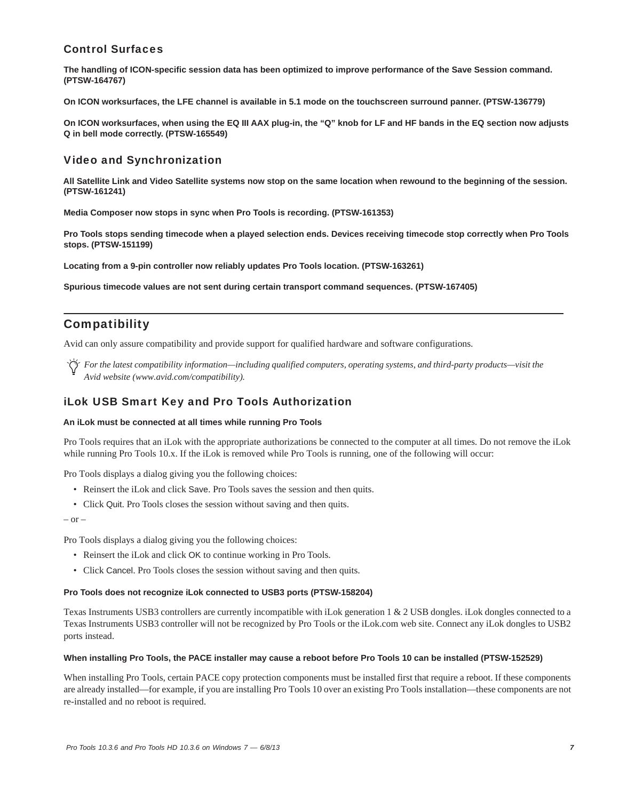# Control Surfaces

**The handling of ICON-specific session data has been optimized to improve performance of the Save Session command. (PTSW-164767)**

**On ICON worksurfaces, the LFE channel is available in 5.1 mode on the touchscreen surround panner. (PTSW-136779)**

**On ICON worksurfaces, when using the EQ III AAX plug-in, the "Q" knob for LF and HF bands in the EQ section now adjusts Q in bell mode correctly. (PTSW-165549)**

# Video and Synchronization

**All Satellite Link and Video Satellite systems now stop on the same location when rewound to the beginning of the session. (PTSW-161241)**

**Media Composer now stops in sync when Pro Tools is recording. (PTSW-161353)**

**Pro Tools stops sending timecode when a played selection ends. Devices receiving timecode stop correctly when Pro Tools stops. (PTSW-151199)**

**Locating from a 9-pin controller now reliably updates Pro Tools location. (PTSW-163261)**

**Spurious timecode values are not sent during certain transport command sequences. (PTSW-167405)**

# **Compatibility**

Avid can only assure compatibility and provide support for qualified hardware and software configurations.

*For the latest compatibility information—including qualified computers, operating systems, and third-party products—visit the Avid website (www.avid.com/compatibility).*

# iLok USB Smart Key and Pro Tools Authorization

### **An iLok must be connected at all times while running Pro Tools**

Pro Tools requires that an iLok with the appropriate authorizations be connected to the computer at all times. Do not remove the iLok while running Pro Tools 10.x. If the iLok is removed while Pro Tools is running, one of the following will occur:

Pro Tools displays a dialog giving you the following choices:

- Reinsert the iLok and click Save. Pro Tools saves the session and then quits.
- Click Quit. Pro Tools closes the session without saving and then quits.

 $-$  or  $-$ 

Pro Tools displays a dialog giving you the following choices:

- Reinsert the iLok and click OK to continue working in Pro Tools.
- Click Cancel. Pro Tools closes the session without saving and then quits.

#### **Pro Tools does not recognize iLok connected to USB3 ports (PTSW-158204)**

Texas Instruments USB3 controllers are currently incompatible with iLok generation 1 & 2 USB dongles. iLok dongles connected to a Texas Instruments USB3 controller will not be recognized by Pro Tools or the iLok.com web site. Connect any iLok dongles to USB2 ports instead.

#### **When installing Pro Tools, the PACE installer may cause a reboot before Pro Tools 10 can be installed (PTSW-152529)**

When installing Pro Tools, certain PACE copy protection components must be installed first that require a reboot. If these components are already installed—for example, if you are installing Pro Tools 10 over an existing Pro Tools installation—these components are not re-installed and no reboot is required.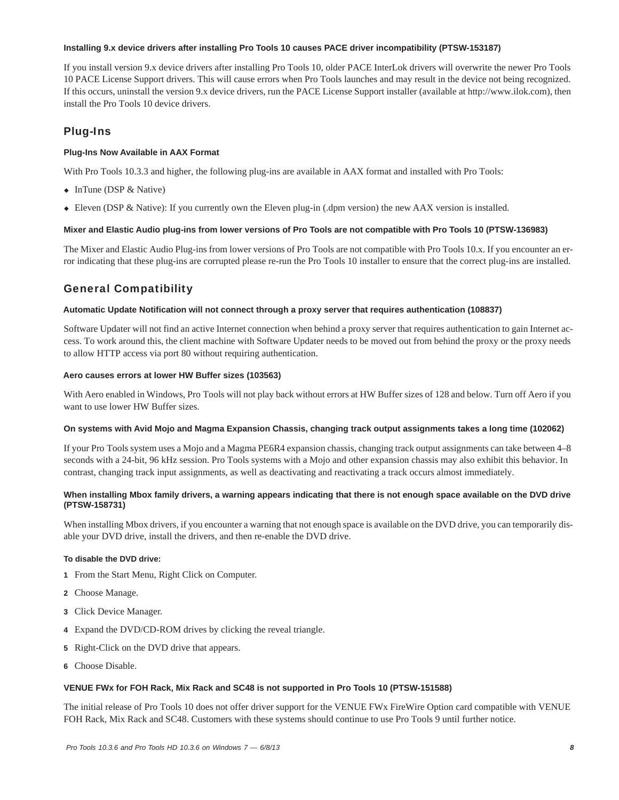### **Installing 9.x device drivers after installing Pro Tools 10 causes PACE driver incompatibility (PTSW-153187)**

If you install version 9.x device drivers after installing Pro Tools 10, older PACE InterLok drivers will overwrite the newer Pro Tools 10 PACE License Support drivers. This will cause errors when Pro Tools launches and may result in the device not being recognized. If this occurs, uninstall the version 9.x device drivers, run the PACE License Support installer (available at http://www.ilok.com), then install the Pro Tools 10 device drivers.

# Plug-Ins

# **Plug-Ins Now Available in AAX Format**

With Pro Tools 10.3.3 and higher, the following plug-ins are available in AAX format and installed with Pro Tools:

- $\bullet$  InTune (DSP & Native)
- Eleven (DSP & Native): If you currently own the Eleven plug-in (.dpm version) the new AAX version is installed.

# **Mixer and Elastic Audio plug-ins from lower versions of Pro Tools are not compatible with Pro Tools 10 (PTSW-136983)**

The Mixer and Elastic Audio Plug-ins from lower versions of Pro Tools are not compatible with Pro Tools 10.x. If you encounter an error indicating that these plug-ins are corrupted please re-run the Pro Tools 10 installer to ensure that the correct plug-ins are installed.

# General Compatibility

# **Automatic Update Notification will not connect through a proxy server that requires authentication (108837)**

Software Updater will not find an active Internet connection when behind a proxy server that requires authentication to gain Internet access. To work around this, the client machine with Software Updater needs to be moved out from behind the proxy or the proxy needs to allow HTTP access via port 80 without requiring authentication.

# **Aero causes errors at lower HW Buffer sizes (103563)**

With Aero enabled in Windows, Pro Tools will not play back without errors at HW Buffer sizes of 128 and below. Turn off Aero if you want to use lower HW Buffer sizes.

#### **On systems with Avid Mojo and Magma Expansion Chassis, changing track output assignments takes a long time (102062)**

If your Pro Tools system uses a Mojo and a Magma PE6R4 expansion chassis, changing track output assignments can take between 4–8 seconds with a 24-bit, 96 kHz session. Pro Tools systems with a Mojo and other expansion chassis may also exhibit this behavior. In contrast, changing track input assignments, as well as deactivating and reactivating a track occurs almost immediately.

# **When installing Mbox family drivers, a warning appears indicating that there is not enough space available on the DVD drive (PTSW-158731)**

When installing Mbox drivers, if you encounter a warning that not enough space is available on the DVD drive, you can temporarily disable your DVD drive, install the drivers, and then re-enable the DVD drive.

# **To disable the DVD drive:**

- **1** From the Start Menu, Right Click on Computer.
- **2** Choose Manage.
- **3** Click Device Manager.
- **4** Expand the DVD/CD-ROM drives by clicking the reveal triangle.
- **5** Right-Click on the DVD drive that appears.
- **6** Choose Disable.

# **VENUE FWx for FOH Rack, Mix Rack and SC48 is not supported in Pro Tools 10 (PTSW-151588)**

The initial release of Pro Tools 10 does not offer driver support for the VENUE FWx FireWire Option card compatible with VENUE FOH Rack, Mix Rack and SC48. Customers with these systems should continue to use Pro Tools 9 until further notice.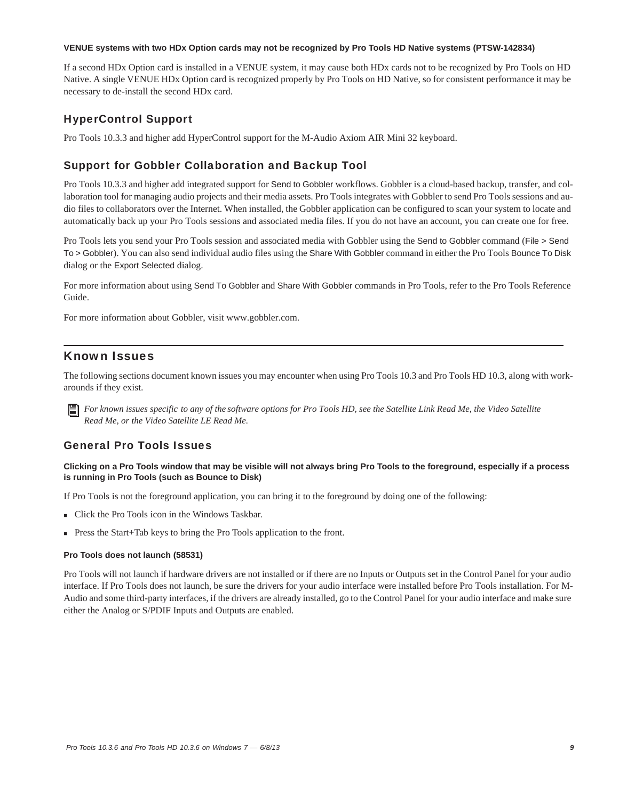### **VENUE systems with two HDx Option cards may not be recognized by Pro Tools HD Native systems (PTSW-142834)**

If a second HDx Option card is installed in a VENUE system, it may cause both HDx cards not to be recognized by Pro Tools on HD Native. A single VENUE HDx Option card is recognized properly by Pro Tools on HD Native, so for consistent performance it may be necessary to de-install the second HDx card.

# HyperControl Support

Pro Tools 10.3.3 and higher add HyperControl support for the M-Audio Axiom AIR Mini 32 keyboard.

# Support for Gobbler Collaboration and Backup Tool

Pro Tools 10.3.3 and higher add integrated support for Send to Gobbler workflows. Gobbler is a cloud-based backup, transfer, and collaboration tool for managing audio projects and their media assets. Pro Tools integrates with Gobbler to send Pro Tools sessions and audio files to collaborators over the Internet. When installed, the Gobbler application can be configured to scan your system to locate and automatically back up your Pro Tools sessions and associated media files. If you do not have an account, you can create one for free.

Pro Tools lets you send your Pro Tools session and associated media with Gobbler using the Send to Gobbler command (File > Send To > Gobbler). You can also send individual audio files using the Share With Gobbler command in either the Pro Tools Bounce To Disk dialog or the Export Selected dialog.

For more information about using Send To Gobbler and Share With Gobbler commands in Pro Tools, refer to the Pro Tools Reference Guide.

For more information about Gobbler, visit www.gobbler.com.

# Known Issues

The following sections document known issues you may encounter when using Pro Tools 10.3 and Pro Tools HD 10.3, along with workarounds if they exist.

*For known issues specific to any of the software options for Pro Tools HD, see the Satellite Link Read Me, the Video Satellite Read Me, or the Video Satellite LE Read Me.*

# General Pro Tools Issues

# **Clicking on a Pro Tools window that may be visible will not always bring Pro Tools to the foreground, especially if a process is running in Pro Tools (such as Bounce to Disk)**

If Pro Tools is not the foreground application, you can bring it to the foreground by doing one of the following:

- Click the Pro Tools icon in the Windows Taskbar.
- Press the Start+Tab keys to bring the Pro Tools application to the front.

# **Pro Tools does not launch (58531)**

Pro Tools will not launch if hardware drivers are not installed or if there are no Inputs or Outputs set in the Control Panel for your audio interface. If Pro Tools does not launch, be sure the drivers for your audio interface were installed before Pro Tools installation. For M-Audio and some third-party interfaces, if the drivers are already installed, go to the Control Panel for your audio interface and make sure either the Analog or S/PDIF Inputs and Outputs are enabled.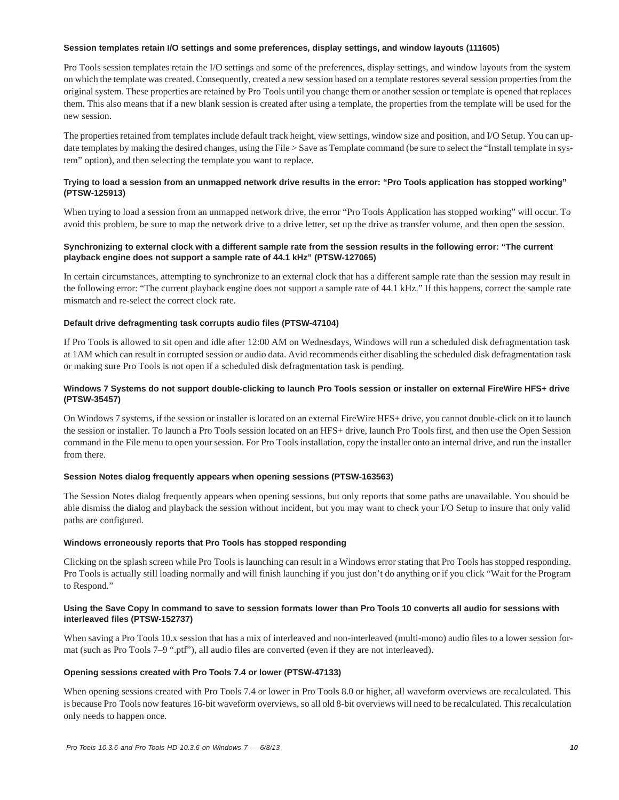### **Session templates retain I/O settings and some preferences, display settings, and window layouts (111605)**

Pro Tools session templates retain the I/O settings and some of the preferences, display settings, and window layouts from the system on which the template was created. Consequently, created a new session based on a template restores several session properties from the original system. These properties are retained by Pro Tools until you change them or another session or template is opened that replaces them. This also means that if a new blank session is created after using a template, the properties from the template will be used for the new session.

The properties retained from templates include default track height, view settings, window size and position, and I/O Setup. You can update templates by making the desired changes, using the File > Save as Template command (be sure to select the "Install template in system" option), and then selecting the template you want to replace.

# **Trying to load a session from an unmapped network drive results in the error: "Pro Tools application has stopped working" (PTSW-125913)**

When trying to load a session from an unmapped network drive, the error "Pro Tools Application has stopped working" will occur. To avoid this problem, be sure to map the network drive to a drive letter, set up the drive as transfer volume, and then open the session.

# **Synchronizing to external clock with a different sample rate from the session results in the following error: "The current playback engine does not support a sample rate of 44.1 kHz" (PTSW-127065)**

In certain circumstances, attempting to synchronize to an external clock that has a different sample rate than the session may result in the following error: "The current playback engine does not support a sample rate of 44.1 kHz." If this happens, correct the sample rate mismatch and re-select the correct clock rate.

# **Default drive defragmenting task corrupts audio files (PTSW-47104)**

If Pro Tools is allowed to sit open and idle after 12:00 AM on Wednesdays, Windows will run a scheduled disk defragmentation task at 1AM which can result in corrupted session or audio data. Avid recommends either disabling the scheduled disk defragmentation task or making sure Pro Tools is not open if a scheduled disk defragmentation task is pending.

# **Windows 7 Systems do not support double-clicking to launch Pro Tools session or installer on external FireWire HFS+ drive (PTSW-35457)**

On Windows 7 systems, if the session or installer is located on an external FireWire HFS+ drive, you cannot double-click on it to launch the session or installer. To launch a Pro Tools session located on an HFS+ drive, launch Pro Tools first, and then use the Open Session command in the File menu to open your session. For Pro Tools installation, copy the installer onto an internal drive, and run the installer from there.

#### **Session Notes dialog frequently appears when opening sessions (PTSW-163563)**

The Session Notes dialog frequently appears when opening sessions, but only reports that some paths are unavailable. You should be able dismiss the dialog and playback the session without incident, but you may want to check your I/O Setup to insure that only valid paths are configured.

# **Windows erroneously reports that Pro Tools has stopped responding**

Clicking on the splash screen while Pro Tools is launching can result in a Windows error stating that Pro Tools has stopped responding. Pro Tools is actually still loading normally and will finish launching if you just don't do anything or if you click "Wait for the Program to Respond."

### **Using the Save Copy In command to save to session formats lower than Pro Tools 10 converts all audio for sessions with interleaved files (PTSW-152737)**

When saving a Pro Tools 10.x session that has a mix of interleaved and non-interleaved (multi-mono) audio files to a lower session format (such as Pro Tools 7–9 ".ptf"), all audio files are converted (even if they are not interleaved).

# **Opening sessions created with Pro Tools 7.4 or lower (PTSW-47133)**

When opening sessions created with Pro Tools 7.4 or lower in Pro Tools 8.0 or higher, all waveform overviews are recalculated. This is because Pro Tools now features 16-bit waveform overviews, so all old 8-bit overviews will need to be recalculated. This recalculation only needs to happen once.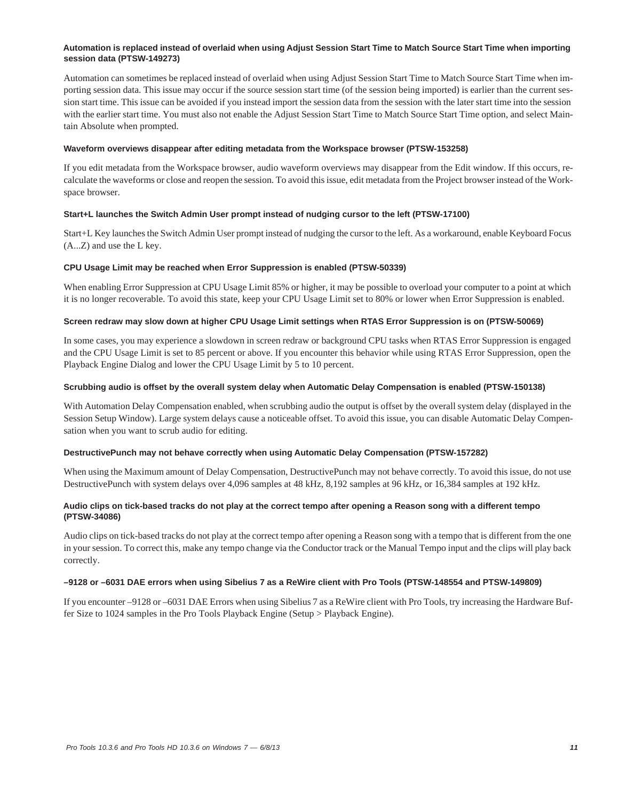# **Automation is replaced instead of overlaid when using Adjust Session Start Time to Match Source Start Time when importing session data (PTSW-149273)**

Automation can sometimes be replaced instead of overlaid when using Adjust Session Start Time to Match Source Start Time when importing session data. This issue may occur if the source session start time (of the session being imported) is earlier than the current session start time. This issue can be avoided if you instead import the session data from the session with the later start time into the session with the earlier start time. You must also not enable the Adjust Session Start Time to Match Source Start Time option, and select Maintain Absolute when prompted.

### **Waveform overviews disappear after editing metadata from the Workspace browser (PTSW-153258)**

If you edit metadata from the Workspace browser, audio waveform overviews may disappear from the Edit window. If this occurs, recalculate the waveforms or close and reopen the session. To avoid this issue, edit metadata from the Project browser instead of the Workspace browser.

# **Start+L launches the Switch Admin User prompt instead of nudging cursor to the left (PTSW-17100)**

Start+L Key launches the Switch Admin User prompt instead of nudging the cursor to the left. As a workaround, enable Keyboard Focus (A...Z) and use the L key.

### **CPU Usage Limit may be reached when Error Suppression is enabled (PTSW-50339)**

When enabling Error Suppression at CPU Usage Limit 85% or higher, it may be possible to overload your computer to a point at which it is no longer recoverable. To avoid this state, keep your CPU Usage Limit set to 80% or lower when Error Suppression is enabled.

### **Screen redraw may slow down at higher CPU Usage Limit settings when RTAS Error Suppression is on (PTSW-50069)**

In some cases, you may experience a slowdown in screen redraw or background CPU tasks when RTAS Error Suppression is engaged and the CPU Usage Limit is set to 85 percent or above. If you encounter this behavior while using RTAS Error Suppression, open the Playback Engine Dialog and lower the CPU Usage Limit by 5 to 10 percent.

### **Scrubbing audio is offset by the overall system delay when Automatic Delay Compensation is enabled (PTSW-150138)**

With Automation Delay Compensation enabled, when scrubbing audio the output is offset by the overall system delay (displayed in the Session Setup Window). Large system delays cause a noticeable offset. To avoid this issue, you can disable Automatic Delay Compensation when you want to scrub audio for editing.

# **DestructivePunch may not behave correctly when using Automatic Delay Compensation (PTSW-157282)**

When using the Maximum amount of Delay Compensation, DestructivePunch may not behave correctly. To avoid this issue, do not use DestructivePunch with system delays over 4,096 samples at 48 kHz, 8,192 samples at 96 kHz, or 16,384 samples at 192 kHz.

# **Audio clips on tick-based tracks do not play at the correct tempo after opening a Reason song with a different tempo (PTSW-34086)**

Audio clips on tick-based tracks do not play at the correct tempo after opening a Reason song with a tempo that is different from the one in your session. To correct this, make any tempo change via the Conductor track or the Manual Tempo input and the clips will play back correctly.

#### **–9128 or –6031 DAE errors when using Sibelius 7 as a ReWire client with Pro Tools (PTSW-148554 and PTSW-149809)**

If you encounter –9128 or –6031 DAE Errors when using Sibelius 7 as a ReWire client with Pro Tools, try increasing the Hardware Buffer Size to 1024 samples in the Pro Tools Playback Engine (Setup > Playback Engine).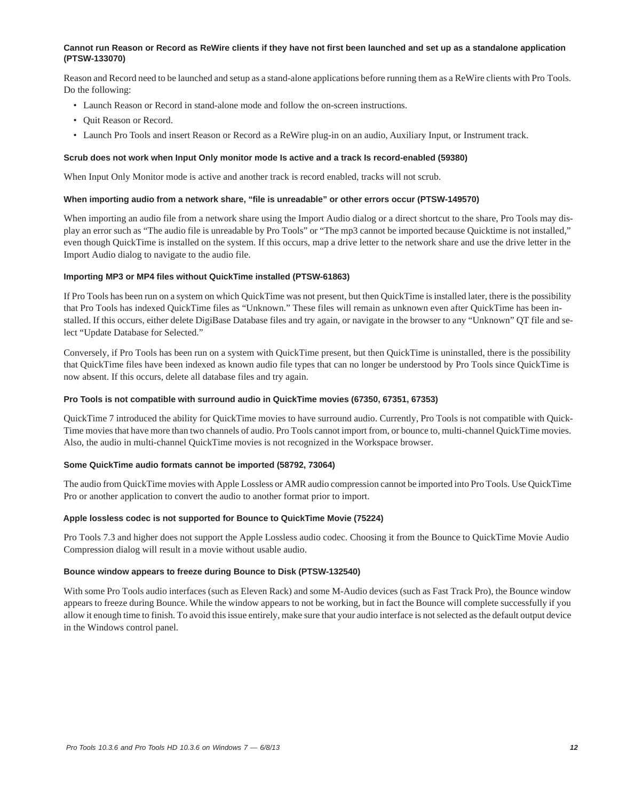### **Cannot run Reason or Record as ReWire clients if they have not first been launched and set up as a standalone application (PTSW-133070)**

Reason and Record need to be launched and setup as a stand-alone applications before running them as a ReWire clients with Pro Tools. Do the following:

- Launch Reason or Record in stand-alone mode and follow the on-screen instructions.
- Quit Reason or Record.
- Launch Pro Tools and insert Reason or Record as a ReWire plug-in on an audio, Auxiliary Input, or Instrument track.

#### **Scrub does not work when Input Only monitor mode Is active and a track Is record-enabled (59380)**

When Input Only Monitor mode is active and another track is record enabled, tracks will not scrub.

#### **When importing audio from a network share, "file is unreadable" or other errors occur (PTSW-149570)**

When importing an audio file from a network share using the Import Audio dialog or a direct shortcut to the share, Pro Tools may display an error such as "The audio file is unreadable by Pro Tools" or "The mp3 cannot be imported because Quicktime is not installed," even though QuickTime is installed on the system. If this occurs, map a drive letter to the network share and use the drive letter in the Import Audio dialog to navigate to the audio file.

### **Importing MP3 or MP4 files without QuickTime installed (PTSW-61863)**

If Pro Tools has been run on a system on which QuickTime was not present, but then QuickTime is installed later, there is the possibility that Pro Tools has indexed QuickTime files as "Unknown." These files will remain as unknown even after QuickTime has been installed. If this occurs, either delete DigiBase Database files and try again, or navigate in the browser to any "Unknown" QT file and select "Update Database for Selected."

Conversely, if Pro Tools has been run on a system with QuickTime present, but then QuickTime is uninstalled, there is the possibility that QuickTime files have been indexed as known audio file types that can no longer be understood by Pro Tools since QuickTime is now absent. If this occurs, delete all database files and try again.

### **Pro Tools is not compatible with surround audio in QuickTime movies (67350, 67351, 67353)**

QuickTime 7 introduced the ability for QuickTime movies to have surround audio. Currently, Pro Tools is not compatible with Quick-Time movies that have more than two channels of audio. Pro Tools cannot import from, or bounce to, multi-channel QuickTime movies. Also, the audio in multi-channel QuickTime movies is not recognized in the Workspace browser.

### **Some QuickTime audio formats cannot be imported (58792, 73064)**

The audio from QuickTime movies with Apple Lossless or AMR audio compression cannot be imported into Pro Tools. Use QuickTime Pro or another application to convert the audio to another format prior to import.

### **Apple lossless codec is not supported for Bounce to QuickTime Movie (75224)**

Pro Tools 7.3 and higher does not support the Apple Lossless audio codec. Choosing it from the Bounce to QuickTime Movie Audio Compression dialog will result in a movie without usable audio.

#### **Bounce window appears to freeze during Bounce to Disk (PTSW-132540)**

With some Pro Tools audio interfaces (such as Eleven Rack) and some M-Audio devices (such as Fast Track Pro), the Bounce window appears to freeze during Bounce. While the window appears to not be working, but in fact the Bounce will complete successfully if you allow it enough time to finish. To avoid this issue entirely, make sure that your audio interface is not selected as the default output device in the Windows control panel.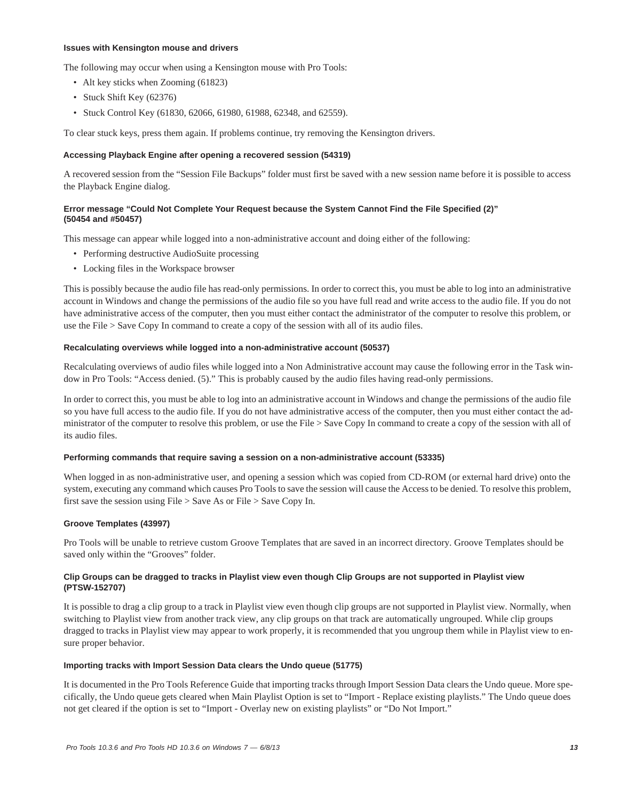### **Issues with Kensington mouse and drivers**

The following may occur when using a Kensington mouse with Pro Tools:

- Alt key sticks when Zooming (61823)
- Stuck Shift Key (62376)
- Stuck Control Key (61830, 62066, 61980, 61988, 62348, and 62559).

To clear stuck keys, press them again. If problems continue, try removing the Kensington drivers.

### **Accessing Playback Engine after opening a recovered session (54319)**

A recovered session from the "Session File Backups" folder must first be saved with a new session name before it is possible to access the Playback Engine dialog.

# **Error message "Could Not Complete Your Request because the System Cannot Find the File Specified (2)" (50454 and #50457)**

This message can appear while logged into a non-administrative account and doing either of the following:

- Performing destructive AudioSuite processing
- Locking files in the Workspace browser

This is possibly because the audio file has read-only permissions. In order to correct this, you must be able to log into an administrative account in Windows and change the permissions of the audio file so you have full read and write access to the audio file. If you do not have administrative access of the computer, then you must either contact the administrator of the computer to resolve this problem, or use the File > Save Copy In command to create a copy of the session with all of its audio files.

#### **Recalculating overviews while logged into a non-administrative account (50537)**

Recalculating overviews of audio files while logged into a Non Administrative account may cause the following error in the Task window in Pro Tools: "Access denied. (5)." This is probably caused by the audio files having read-only permissions.

In order to correct this, you must be able to log into an administrative account in Windows and change the permissions of the audio file so you have full access to the audio file. If you do not have administrative access of the computer, then you must either contact the administrator of the computer to resolve this problem, or use the File > Save Copy In command to create a copy of the session with all of its audio files.

#### **Performing commands that require saving a session on a non-administrative account (53335)**

When logged in as non-administrative user, and opening a session which was copied from CD-ROM (or external hard drive) onto the system, executing any command which causes Pro Tools to save the session will cause the Access to be denied. To resolve this problem, first save the session using File > Save As or File > Save Copy In.

# **Groove Templates (43997)**

Pro Tools will be unable to retrieve custom Groove Templates that are saved in an incorrect directory. Groove Templates should be saved only within the "Grooves" folder.

### **Clip Groups can be dragged to tracks in Playlist view even though Clip Groups are not supported in Playlist view (PTSW-152707)**

It is possible to drag a clip group to a track in Playlist view even though clip groups are not supported in Playlist view. Normally, when switching to Playlist view from another track view, any clip groups on that track are automatically ungrouped. While clip groups dragged to tracks in Playlist view may appear to work properly, it is recommended that you ungroup them while in Playlist view to ensure proper behavior.

#### **Importing tracks with Import Session Data clears the Undo queue (51775)**

It is documented in the Pro Tools Reference Guide that importing tracks through Import Session Data clears the Undo queue. More specifically, the Undo queue gets cleared when Main Playlist Option is set to "Import - Replace existing playlists." The Undo queue does not get cleared if the option is set to "Import - Overlay new on existing playlists" or "Do Not Import."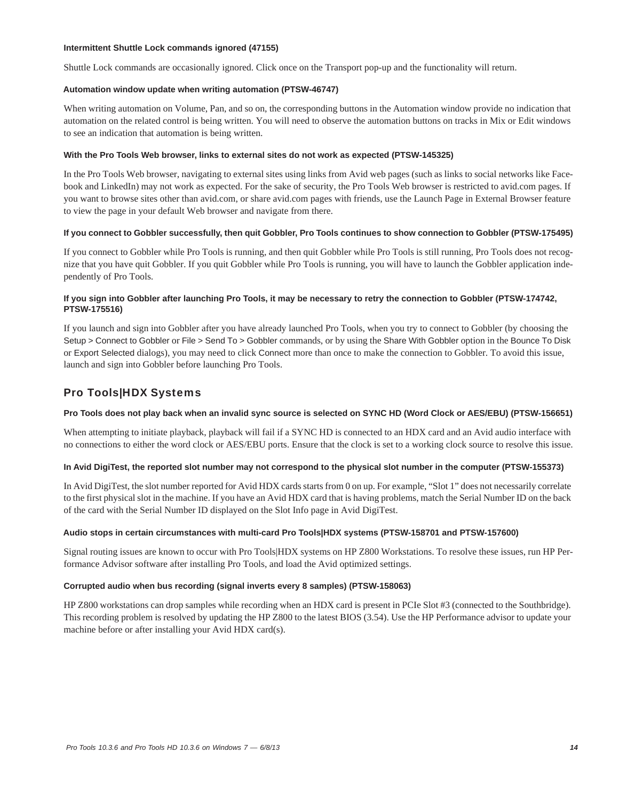### **Intermittent Shuttle Lock commands ignored (47155)**

Shuttle Lock commands are occasionally ignored. Click once on the Transport pop-up and the functionality will return.

### **Automation window update when writing automation (PTSW-46747)**

When writing automation on Volume, Pan, and so on, the corresponding buttons in the Automation window provide no indication that automation on the related control is being written. You will need to observe the automation buttons on tracks in Mix or Edit windows to see an indication that automation is being written.

### **With the Pro Tools Web browser, links to external sites do not work as expected (PTSW-145325)**

In the Pro Tools Web browser, navigating to external sites using links from Avid web pages (such as links to social networks like Facebook and LinkedIn) may not work as expected. For the sake of security, the Pro Tools Web browser is restricted to avid.com pages. If you want to browse sites other than avid.com, or share avid.com pages with friends, use the Launch Page in External Browser feature to view the page in your default Web browser and navigate from there.

### **If you connect to Gobbler successfully, then quit Gobbler, Pro Tools continues to show connection to Gobbler (PTSW-175495)**

If you connect to Gobbler while Pro Tools is running, and then quit Gobbler while Pro Tools is still running, Pro Tools does not recognize that you have quit Gobbler. If you quit Gobbler while Pro Tools is running, you will have to launch the Gobbler application independently of Pro Tools.

# **If you sign into Gobbler after launching Pro Tools, it may be necessary to retry the connection to Gobbler (PTSW-174742, PTSW-175516)**

If you launch and sign into Gobbler after you have already launched Pro Tools, when you try to connect to Gobbler (by choosing the Setup > Connect to Gobbler or File > Send To > Gobbler commands, or by using the Share With Gobbler option in the Bounce To Disk or Export Selected dialogs), you may need to click Connect more than once to make the connection to Gobbler. To avoid this issue, launch and sign into Gobbler before launching Pro Tools.

# Pro Tools|HDX Systems

# **Pro Tools does not play back when an invalid sync source is selected on SYNC HD (Word Clock or AES/EBU) (PTSW-156651)**

When attempting to initiate playback, playback will fail if a SYNC HD is connected to an HDX card and an Avid audio interface with no connections to either the word clock or AES/EBU ports. Ensure that the clock is set to a working clock source to resolve this issue.

# **In Avid DigiTest, the reported slot number may not correspond to the physical slot number in the computer (PTSW-155373)**

In Avid DigiTest, the slot number reported for Avid HDX cards starts from 0 on up. For example, "Slot 1" does not necessarily correlate to the first physical slot in the machine. If you have an Avid HDX card that is having problems, match the Serial Number ID on the back of the card with the Serial Number ID displayed on the Slot Info page in Avid DigiTest.

# **Audio stops in certain circumstances with multi-card Pro Tools|HDX systems (PTSW-158701 and PTSW-157600)**

Signal routing issues are known to occur with Pro Tools|HDX systems on HP Z800 Workstations. To resolve these issues, run HP Performance Advisor software after installing Pro Tools, and load the Avid optimized settings.

# **Corrupted audio when bus recording (signal inverts every 8 samples) (PTSW-158063)**

HP Z800 workstations can drop samples while recording when an HDX card is present in PCIe Slot #3 (connected to the Southbridge). This recording problem is resolved by updating the HP Z800 to the latest BIOS (3.54). Use the HP Performance advisor to update your machine before or after installing your Avid HDX card(s).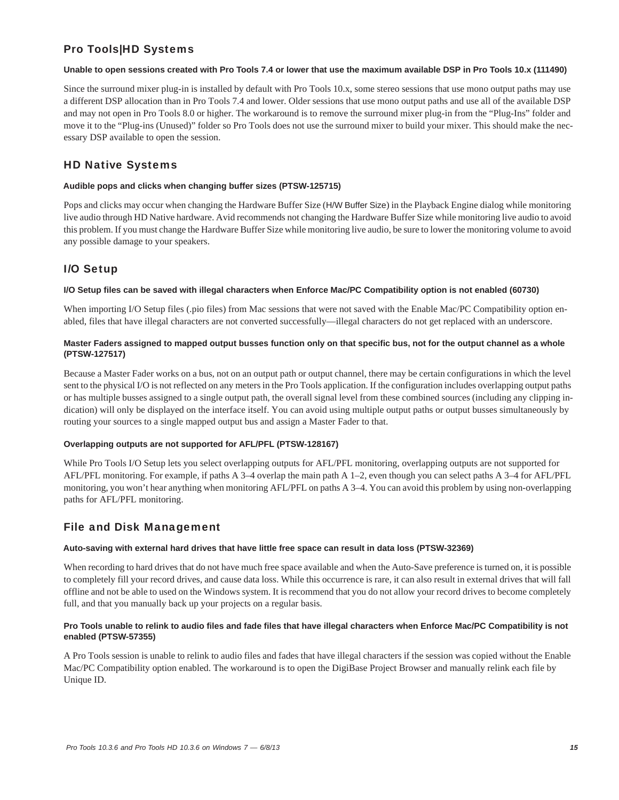# Pro Tools|HD Systems

# **Unable to open sessions created with Pro Tools 7.4 or lower that use the maximum available DSP in Pro Tools 10.x (111490)**

Since the surround mixer plug-in is installed by default with Pro Tools 10.x, some stereo sessions that use mono output paths may use a different DSP allocation than in Pro Tools 7.4 and lower. Older sessions that use mono output paths and use all of the available DSP and may not open in Pro Tools 8.0 or higher. The workaround is to remove the surround mixer plug-in from the "Plug-Ins" folder and move it to the "Plug-ins (Unused)" folder so Pro Tools does not use the surround mixer to build your mixer. This should make the necessary DSP available to open the session.

# HD Native Systems

# **Audible pops and clicks when changing buffer sizes (PTSW-125715)**

Pops and clicks may occur when changing the Hardware Buffer Size (H/W Buffer Size) in the Playback Engine dialog while monitoring live audio through HD Native hardware. Avid recommends not changing the Hardware Buffer Size while monitoring live audio to avoid this problem. If you must change the Hardware Buffer Size while monitoring live audio, be sure to lower the monitoring volume to avoid any possible damage to your speakers.

# I/O Setup

# **I/O Setup files can be saved with illegal characters when Enforce Mac/PC Compatibility option is not enabled (60730)**

When importing I/O Setup files (.pio files) from Mac sessions that were not saved with the Enable Mac/PC Compatibility option enabled, files that have illegal characters are not converted successfully—illegal characters do not get replaced with an underscore.

# **Master Faders assigned to mapped output busses function only on that specific bus, not for the output channel as a whole (PTSW-127517)**

Because a Master Fader works on a bus, not on an output path or output channel, there may be certain configurations in which the level sent to the physical I/O is not reflected on any meters in the Pro Tools application. If the configuration includes overlapping output paths or has multiple busses assigned to a single output path, the overall signal level from these combined sources (including any clipping indication) will only be displayed on the interface itself. You can avoid using multiple output paths or output busses simultaneously by routing your sources to a single mapped output bus and assign a Master Fader to that.

# **Overlapping outputs are not supported for AFL/PFL (PTSW-128167)**

While Pro Tools I/O Setup lets you select overlapping outputs for AFL/PFL monitoring, overlapping outputs are not supported for AFL/PFL monitoring. For example, if paths A 3–4 overlap the main path A 1–2, even though you can select paths A 3–4 for AFL/PFL monitoring, you won't hear anything when monitoring AFL/PFL on paths A 3–4. You can avoid this problem by using non-overlapping paths for AFL/PFL monitoring.

# File and Disk Management

# **Auto-saving with external hard drives that have little free space can result in data loss (PTSW-32369)**

When recording to hard drives that do not have much free space available and when the Auto-Save preference is turned on, it is possible to completely fill your record drives, and cause data loss. While this occurrence is rare, it can also result in external drives that will fall offline and not be able to used on the Windows system. It is recommend that you do not allow your record drives to become completely full, and that you manually back up your projects on a regular basis.

# **Pro Tools unable to relink to audio files and fade files that have illegal characters when Enforce Mac/PC Compatibility is not enabled (PTSW-57355)**

A Pro Tools session is unable to relink to audio files and fades that have illegal characters if the session was copied without the Enable Mac/PC Compatibility option enabled. The workaround is to open the DigiBase Project Browser and manually relink each file by Unique ID.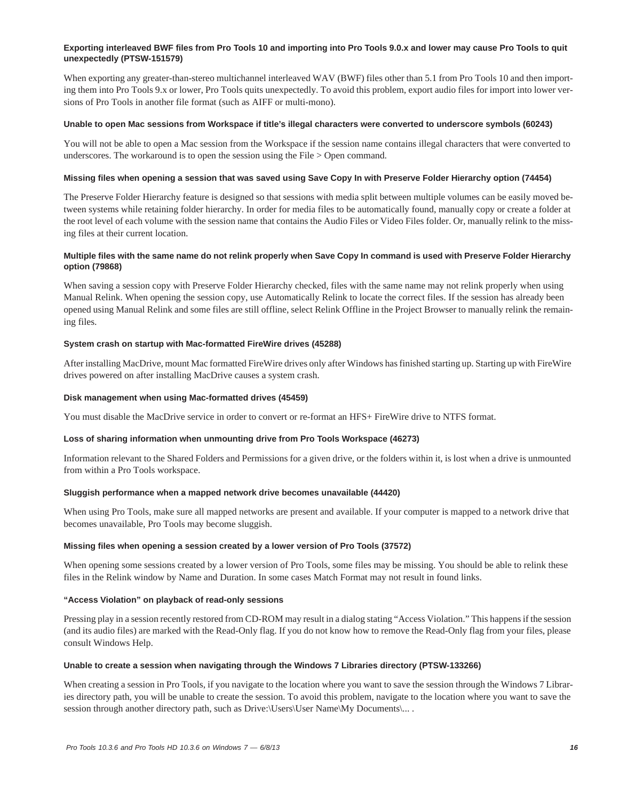# **Exporting interleaved BWF files from Pro Tools 10 and importing into Pro Tools 9.0.x and lower may cause Pro Tools to quit unexpectedly (PTSW-151579)**

When exporting any greater-than-stereo multichannel interleaved WAV (BWF) files other than 5.1 from Pro Tools 10 and then importing them into Pro Tools 9.x or lower, Pro Tools quits unexpectedly. To avoid this problem, export audio files for import into lower versions of Pro Tools in another file format (such as AIFF or multi-mono).

### **Unable to open Mac sessions from Workspace if title's illegal characters were converted to underscore symbols (60243)**

You will not be able to open a Mac session from the Workspace if the session name contains illegal characters that were converted to underscores. The workaround is to open the session using the File > Open command.

### **Missing files when opening a session that was saved using Save Copy In with Preserve Folder Hierarchy option (74454)**

The Preserve Folder Hierarchy feature is designed so that sessions with media split between multiple volumes can be easily moved between systems while retaining folder hierarchy. In order for media files to be automatically found, manually copy or create a folder at the root level of each volume with the session name that contains the Audio Files or Video Files folder. Or, manually relink to the missing files at their current location.

### **Multiple files with the same name do not relink properly when Save Copy In command is used with Preserve Folder Hierarchy option (79868)**

When saving a session copy with Preserve Folder Hierarchy checked, files with the same name may not relink properly when using Manual Relink. When opening the session copy, use Automatically Relink to locate the correct files. If the session has already been opened using Manual Relink and some files are still offline, select Relink Offline in the Project Browser to manually relink the remaining files.

### **System crash on startup with Mac-formatted FireWire drives (45288)**

After installing MacDrive, mount Mac formatted FireWire drives only after Windows has finished starting up. Starting up with FireWire drives powered on after installing MacDrive causes a system crash.

### **Disk management when using Mac-formatted drives (45459)**

You must disable the MacDrive service in order to convert or re-format an HFS+ FireWire drive to NTFS format.

#### **Loss of sharing information when unmounting drive from Pro Tools Workspace (46273)**

Information relevant to the Shared Folders and Permissions for a given drive, or the folders within it, is lost when a drive is unmounted from within a Pro Tools workspace.

#### **Sluggish performance when a mapped network drive becomes unavailable (44420)**

When using Pro Tools, make sure all mapped networks are present and available. If your computer is mapped to a network drive that becomes unavailable, Pro Tools may become sluggish.

#### **Missing files when opening a session created by a lower version of Pro Tools (37572)**

When opening some sessions created by a lower version of Pro Tools, some files may be missing. You should be able to relink these files in the Relink window by Name and Duration. In some cases Match Format may not result in found links.

### **"Access Violation" on playback of read-only sessions**

Pressing play in a session recently restored from CD-ROM may result in a dialog stating "Access Violation." This happens if the session (and its audio files) are marked with the Read-Only flag. If you do not know how to remove the Read-Only flag from your files, please consult Windows Help.

#### **Unable to create a session when navigating through the Windows 7 Libraries directory (PTSW-133266)**

When creating a session in Pro Tools, if you navigate to the location where you want to save the session through the Windows 7 Libraries directory path, you will be unable to create the session. To avoid this problem, navigate to the location where you want to save the session through another directory path, such as Drive:\Users\User Name\My Documents\... .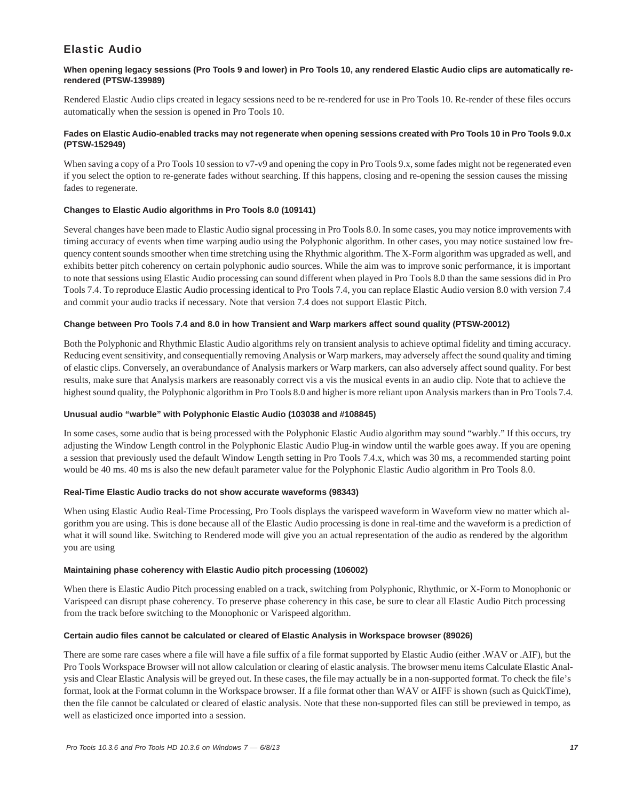# Elastic Audio

# **When opening legacy sessions (Pro Tools 9 and lower) in Pro Tools 10, any rendered Elastic Audio clips are automatically rerendered (PTSW-139989)**

Rendered Elastic Audio clips created in legacy sessions need to be re-rendered for use in Pro Tools 10. Re-render of these files occurs automatically when the session is opened in Pro Tools 10.

# **Fades on Elastic Audio-enabled tracks may not regenerate when opening sessions created with Pro Tools 10 in Pro Tools 9.0.x (PTSW-152949)**

When saving a copy of a Pro Tools 10 session to v7-v9 and opening the copy in Pro Tools 9.x, some fades might not be regenerated even if you select the option to re-generate fades without searching. If this happens, closing and re-opening the session causes the missing fades to regenerate.

# **Changes to Elastic Audio algorithms in Pro Tools 8.0 (109141)**

Several changes have been made to Elastic Audio signal processing in Pro Tools 8.0. In some cases, you may notice improvements with timing accuracy of events when time warping audio using the Polyphonic algorithm. In other cases, you may notice sustained low frequency content sounds smoother when time stretching using the Rhythmic algorithm. The X-Form algorithm was upgraded as well, and exhibits better pitch coherency on certain polyphonic audio sources. While the aim was to improve sonic performance, it is important to note that sessions using Elastic Audio processing can sound different when played in Pro Tools 8.0 than the same sessions did in Pro Tools 7.4. To reproduce Elastic Audio processing identical to Pro Tools 7.4, you can replace Elastic Audio version 8.0 with version 7.4 and commit your audio tracks if necessary. Note that version 7.4 does not support Elastic Pitch.

# **Change between Pro Tools 7.4 and 8.0 in how Transient and Warp markers affect sound quality (PTSW-20012)**

Both the Polyphonic and Rhythmic Elastic Audio algorithms rely on transient analysis to achieve optimal fidelity and timing accuracy. Reducing event sensitivity, and consequentially removing Analysis or Warp markers, may adversely affect the sound quality and timing of elastic clips. Conversely, an overabundance of Analysis markers or Warp markers, can also adversely affect sound quality. For best results, make sure that Analysis markers are reasonably correct vis a vis the musical events in an audio clip. Note that to achieve the highest sound quality, the Polyphonic algorithm in Pro Tools 8.0 and higher is more reliant upon Analysis markers than in Pro Tools 7.4.

# **Unusual audio "warble" with Polyphonic Elastic Audio (103038 and #108845)**

In some cases, some audio that is being processed with the Polyphonic Elastic Audio algorithm may sound "warbly." If this occurs, try adjusting the Window Length control in the Polyphonic Elastic Audio Plug-in window until the warble goes away. If you are opening a session that previously used the default Window Length setting in Pro Tools 7.4.x, which was 30 ms, a recommended starting point would be 40 ms. 40 ms is also the new default parameter value for the Polyphonic Elastic Audio algorithm in Pro Tools 8.0.

# **Real-Time Elastic Audio tracks do not show accurate waveforms (98343)**

When using Elastic Audio Real-Time Processing, Pro Tools displays the varispeed waveform in Waveform view no matter which algorithm you are using. This is done because all of the Elastic Audio processing is done in real-time and the waveform is a prediction of what it will sound like. Switching to Rendered mode will give you an actual representation of the audio as rendered by the algorithm you are using

# **Maintaining phase coherency with Elastic Audio pitch processing (106002)**

When there is Elastic Audio Pitch processing enabled on a track, switching from Polyphonic, Rhythmic, or X-Form to Monophonic or Varispeed can disrupt phase coherency. To preserve phase coherency in this case, be sure to clear all Elastic Audio Pitch processing from the track before switching to the Monophonic or Varispeed algorithm.

# **Certain audio files cannot be calculated or cleared of Elastic Analysis in Workspace browser (89026)**

There are some rare cases where a file will have a file suffix of a file format supported by Elastic Audio (either .WAV or .AIF), but the Pro Tools Workspace Browser will not allow calculation or clearing of elastic analysis. The browser menu items Calculate Elastic Analysis and Clear Elastic Analysis will be greyed out. In these cases, the file may actually be in a non-supported format. To check the file's format, look at the Format column in the Workspace browser. If a file format other than WAV or AIFF is shown (such as QuickTime), then the file cannot be calculated or cleared of elastic analysis. Note that these non-supported files can still be previewed in tempo, as well as elasticized once imported into a session.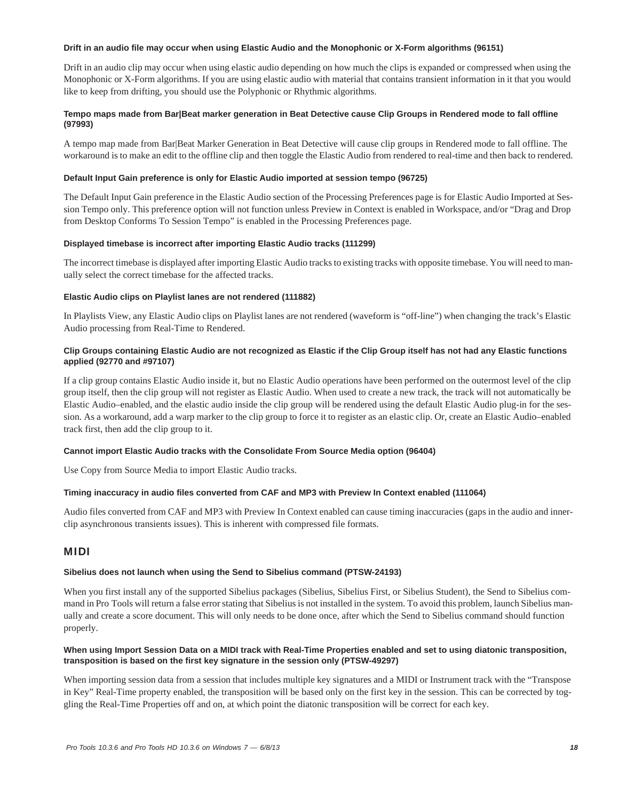### **Drift in an audio file may occur when using Elastic Audio and the Monophonic or X-Form algorithms (96151)**

Drift in an audio clip may occur when using elastic audio depending on how much the clips is expanded or compressed when using the Monophonic or X-Form algorithms. If you are using elastic audio with material that contains transient information in it that you would like to keep from drifting, you should use the Polyphonic or Rhythmic algorithms.

# **Tempo maps made from Bar|Beat marker generation in Beat Detective cause Clip Groups in Rendered mode to fall offline (97993)**

A tempo map made from Bar|Beat Marker Generation in Beat Detective will cause clip groups in Rendered mode to fall offline. The workaround is to make an edit to the offline clip and then toggle the Elastic Audio from rendered to real-time and then back to rendered.

### **Default Input Gain preference is only for Elastic Audio imported at session tempo (96725)**

The Default Input Gain preference in the Elastic Audio section of the Processing Preferences page is for Elastic Audio Imported at Session Tempo only. This preference option will not function unless Preview in Context is enabled in Workspace, and/or "Drag and Drop from Desktop Conforms To Session Tempo" is enabled in the Processing Preferences page.

### **Displayed timebase is incorrect after importing Elastic Audio tracks (111299)**

The incorrect timebase is displayed after importing Elastic Audio tracks to existing tracks with opposite timebase. You will need to manually select the correct timebase for the affected tracks.

### **Elastic Audio clips on Playlist lanes are not rendered (111882)**

In Playlists View, any Elastic Audio clips on Playlist lanes are not rendered (waveform is "off-line") when changing the track's Elastic Audio processing from Real-Time to Rendered.

# **Clip Groups containing Elastic Audio are not recognized as Elastic if the Clip Group itself has not had any Elastic functions applied (92770 and #97107)**

If a clip group contains Elastic Audio inside it, but no Elastic Audio operations have been performed on the outermost level of the clip group itself, then the clip group will not register as Elastic Audio. When used to create a new track, the track will not automatically be Elastic Audio–enabled, and the elastic audio inside the clip group will be rendered using the default Elastic Audio plug-in for the session. As a workaround, add a warp marker to the clip group to force it to register as an elastic clip. Or, create an Elastic Audio–enabled track first, then add the clip group to it.

# **Cannot import Elastic Audio tracks with the Consolidate From Source Media option (96404)**

Use Copy from Source Media to import Elastic Audio tracks.

# **Timing inaccuracy in audio files converted from CAF and MP3 with Preview In Context enabled (111064)**

Audio files converted from CAF and MP3 with Preview In Context enabled can cause timing inaccuracies (gaps in the audio and innerclip asynchronous transients issues). This is inherent with compressed file formats.

# MIDI

#### **Sibelius does not launch when using the Send to Sibelius command (PTSW-24193)**

When you first install any of the supported Sibelius packages (Sibelius, Sibelius First, or Sibelius Student), the Send to Sibelius command in Pro Tools will return a false error stating that Sibelius is not installed in the system. To avoid this problem, launch Sibelius manually and create a score document. This will only needs to be done once, after which the Send to Sibelius command should function properly.

# **When using Import Session Data on a MIDI track with Real-Time Properties enabled and set to using diatonic transposition, transposition is based on the first key signature in the session only (PTSW-49297)**

When importing session data from a session that includes multiple key signatures and a MIDI or Instrument track with the "Transpose in Key" Real-Time property enabled, the transposition will be based only on the first key in the session. This can be corrected by toggling the Real-Time Properties off and on, at which point the diatonic transposition will be correct for each key.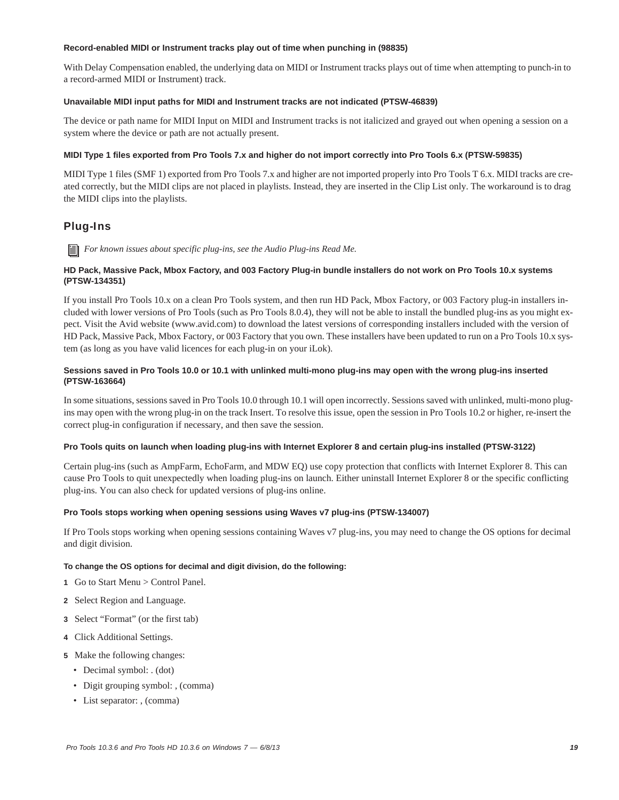### **Record-enabled MIDI or Instrument tracks play out of time when punching in (98835)**

With Delay Compensation enabled, the underlying data on MIDI or Instrument tracks plays out of time when attempting to punch-in to a record-armed MIDI or Instrument) track.

### **Unavailable MIDI input paths for MIDI and Instrument tracks are not indicated (PTSW-46839)**

The device or path name for MIDI Input on MIDI and Instrument tracks is not italicized and grayed out when opening a session on a system where the device or path are not actually present.

### **MIDI Type 1 files exported from Pro Tools 7.x and higher do not import correctly into Pro Tools 6.x (PTSW-59835)**

MIDI Type 1 files (SMF 1) exported from Pro Tools 7.x and higher are not imported properly into Pro Tools T 6.x. MIDI tracks are created correctly, but the MIDI clips are not placed in playlists. Instead, they are inserted in the Clip List only. The workaround is to drag the MIDI clips into the playlists.

# Plug-Ins

*For known issues about specific plug-ins, see the Audio Plug-ins Read Me.*

# **HD Pack, Massive Pack, Mbox Factory, and 003 Factory Plug-in bundle installers do not work on Pro Tools 10.x systems (PTSW-134351)**

If you install Pro Tools 10.x on a clean Pro Tools system, and then run HD Pack, Mbox Factory, or 003 Factory plug-in installers included with lower versions of Pro Tools (such as Pro Tools 8.0.4), they will not be able to install the bundled plug-ins as you might expect. Visit the Avid website (www.avid.com) to download the latest versions of corresponding installers included with the version of HD Pack, Massive Pack, Mbox Factory, or 003 Factory that you own. These installers have been updated to run on a Pro Tools 10.x system (as long as you have valid licences for each plug-in on your iLok).

# **Sessions saved in Pro Tools 10.0 or 10.1 with unlinked multi-mono plug-ins may open with the wrong plug-ins inserted (PTSW-163664)**

In some situations, sessions saved in Pro Tools 10.0 through 10.1 will open incorrectly. Sessions saved with unlinked, multi-mono plugins may open with the wrong plug-in on the track Insert. To resolve this issue, open the session in Pro Tools 10.2 or higher, re-insert the correct plug-in configuration if necessary, and then save the session.

# **Pro Tools quits on launch when loading plug-ins with Internet Explorer 8 and certain plug-ins installed (PTSW-3122)**

Certain plug-ins (such as AmpFarm, EchoFarm, and MDW EQ) use copy protection that conflicts with Internet Explorer 8. This can cause Pro Tools to quit unexpectedly when loading plug-ins on launch. Either uninstall Internet Explorer 8 or the specific conflicting plug-ins. You can also check for updated versions of plug-ins online.

# **Pro Tools stops working when opening sessions using Waves v7 plug-ins (PTSW-134007)**

If Pro Tools stops working when opening sessions containing Waves v7 plug-ins, you may need to change the OS options for decimal and digit division.

#### **To change the OS options for decimal and digit division, do the following:**

- **1** Go to Start Menu > Control Panel.
- **2** Select Region and Language.
- **3** Select "Format" (or the first tab)
- **4** Click Additional Settings.
- **5** Make the following changes:
	- Decimal symbol: . (dot)
	- Digit grouping symbol: , (comma)
	- List separator: , (comma)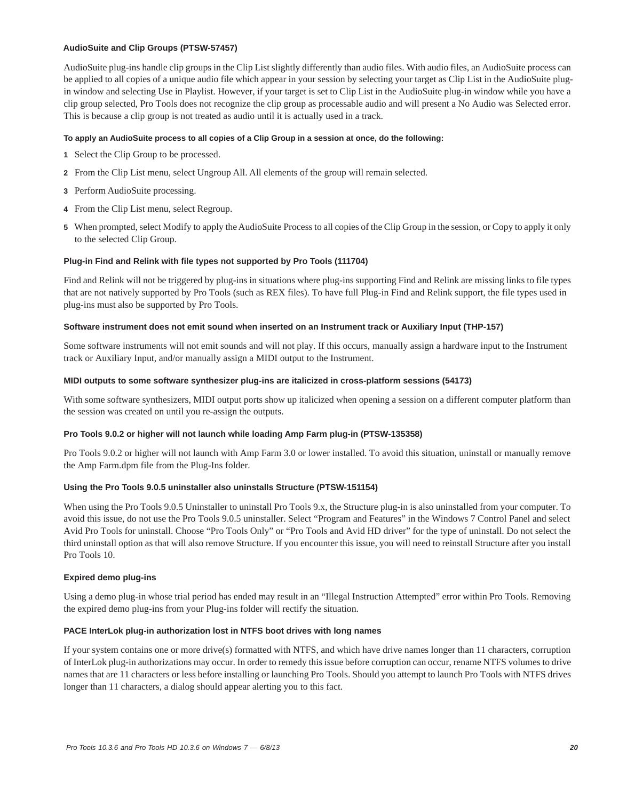### **AudioSuite and Clip Groups (PTSW-57457)**

AudioSuite plug-ins handle clip groups in the Clip List slightly differently than audio files. With audio files, an AudioSuite process can be applied to all copies of a unique audio file which appear in your session by selecting your target as Clip List in the AudioSuite plugin window and selecting Use in Playlist. However, if your target is set to Clip List in the AudioSuite plug-in window while you have a clip group selected, Pro Tools does not recognize the clip group as processable audio and will present a No Audio was Selected error. This is because a clip group is not treated as audio until it is actually used in a track.

### **To apply an AudioSuite process to all copies of a Clip Group in a session at once, do the following:**

- **1** Select the Clip Group to be processed.
- **2** From the Clip List menu, select Ungroup All. All elements of the group will remain selected.
- **3** Perform AudioSuite processing.
- **4** From the Clip List menu, select Regroup.
- **5** When prompted, select Modify to apply the AudioSuite Process to all copies of the Clip Group in the session, or Copy to apply it only to the selected Clip Group.

#### **Plug-in Find and Relink with file types not supported by Pro Tools (111704)**

Find and Relink will not be triggered by plug-ins in situations where plug-ins supporting Find and Relink are missing links to file types that are not natively supported by Pro Tools (such as REX files). To have full Plug-in Find and Relink support, the file types used in plug-ins must also be supported by Pro Tools.

#### **Software instrument does not emit sound when inserted on an Instrument track or Auxiliary Input (THP-157)**

Some software instruments will not emit sounds and will not play. If this occurs, manually assign a hardware input to the Instrument track or Auxiliary Input, and/or manually assign a MIDI output to the Instrument.

#### **MIDI outputs to some software synthesizer plug-ins are italicized in cross-platform sessions (54173)**

With some software synthesizers, MIDI output ports show up italicized when opening a session on a different computer platform than the session was created on until you re-assign the outputs.

#### **Pro Tools 9.0.2 or higher will not launch while loading Amp Farm plug-in (PTSW-135358)**

Pro Tools 9.0.2 or higher will not launch with Amp Farm 3.0 or lower installed. To avoid this situation, uninstall or manually remove the Amp Farm.dpm file from the Plug-Ins folder.

# **Using the Pro Tools 9.0.5 uninstaller also uninstalls Structure (PTSW-151154)**

When using the Pro Tools 9.0.5 Uninstaller to uninstall Pro Tools 9.x, the Structure plug-in is also uninstalled from your computer. To avoid this issue, do not use the Pro Tools 9.0.5 uninstaller. Select "Program and Features" in the Windows 7 Control Panel and select Avid Pro Tools for uninstall. Choose "Pro Tools Only" or "Pro Tools and Avid HD driver" for the type of uninstall. Do not select the third uninstall option as that will also remove Structure. If you encounter this issue, you will need to reinstall Structure after you install Pro Tools 10.

#### **Expired demo plug-ins**

Using a demo plug-in whose trial period has ended may result in an "Illegal Instruction Attempted" error within Pro Tools. Removing the expired demo plug-ins from your Plug-ins folder will rectify the situation.

#### **PACE InterLok plug-in authorization lost in NTFS boot drives with long names**

If your system contains one or more drive(s) formatted with NTFS, and which have drive names longer than 11 characters, corruption of InterLok plug-in authorizations may occur. In order to remedy this issue before corruption can occur, rename NTFS volumes to drive names that are 11 characters or less before installing or launching Pro Tools. Should you attempt to launch Pro Tools with NTFS drives longer than 11 characters, a dialog should appear alerting you to this fact.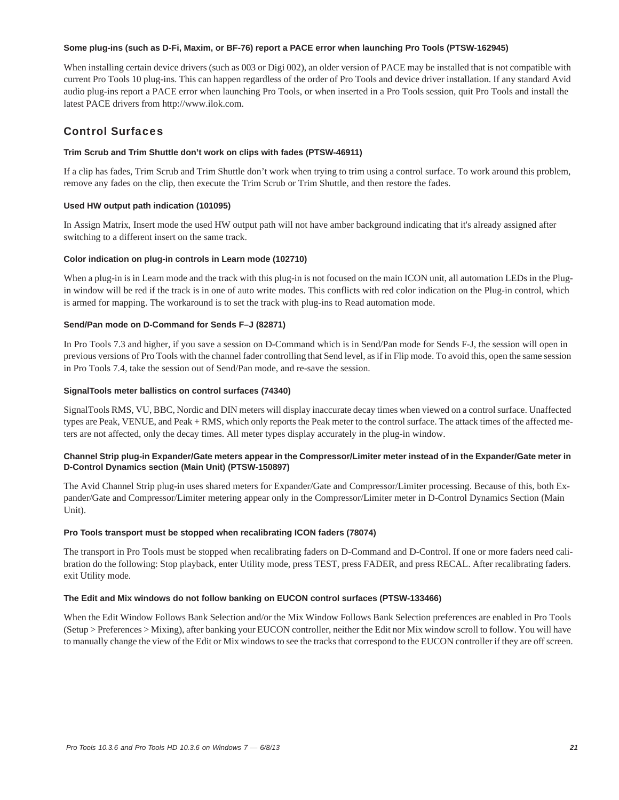### **Some plug-ins (such as D-Fi, Maxim, or BF-76) report a PACE error when launching Pro Tools (PTSW-162945)**

When installing certain device drivers (such as 003 or Digi 002), an older version of PACE may be installed that is not compatible with current Pro Tools 10 plug-ins. This can happen regardless of the order of Pro Tools and device driver installation. If any standard Avid audio plug-ins report a PACE error when launching Pro Tools, or when inserted in a Pro Tools session, quit Pro Tools and install the latest PACE drivers from http://www.ilok.com.

# Control Surfaces

# **Trim Scrub and Trim Shuttle don't work on clips with fades (PTSW-46911)**

If a clip has fades, Trim Scrub and Trim Shuttle don't work when trying to trim using a control surface. To work around this problem, remove any fades on the clip, then execute the Trim Scrub or Trim Shuttle, and then restore the fades.

# **Used HW output path indication (101095)**

In Assign Matrix, Insert mode the used HW output path will not have amber background indicating that it's already assigned after switching to a different insert on the same track.

# **Color indication on plug-in controls in Learn mode (102710)**

When a plug-in is in Learn mode and the track with this plug-in is not focused on the main ICON unit, all automation LEDs in the Plugin window will be red if the track is in one of auto write modes. This conflicts with red color indication on the Plug-in control, which is armed for mapping. The workaround is to set the track with plug-ins to Read automation mode.

# **Send/Pan mode on D-Command for Sends F–J (82871)**

In Pro Tools 7.3 and higher, if you save a session on D-Command which is in Send/Pan mode for Sends F-J, the session will open in previous versions of Pro Tools with the channel fader controlling that Send level, as if in Flip mode. To avoid this, open the same session in Pro Tools 7.4, take the session out of Send/Pan mode, and re-save the session.

# **SignalTools meter ballistics on control surfaces (74340)**

SignalTools RMS, VU, BBC, Nordic and DIN meters will display inaccurate decay times when viewed on a control surface. Unaffected types are Peak, VENUE, and Peak + RMS, which only reports the Peak meter to the control surface. The attack times of the affected meters are not affected, only the decay times. All meter types display accurately in the plug-in window.

# **Channel Strip plug-in Expander/Gate meters appear in the Compressor/Limiter meter instead of in the Expander/Gate meter in D-Control Dynamics section (Main Unit) (PTSW-150897)**

The Avid Channel Strip plug-in uses shared meters for Expander/Gate and Compressor/Limiter processing. Because of this, both Expander/Gate and Compressor/Limiter metering appear only in the Compressor/Limiter meter in D-Control Dynamics Section (Main Unit).

# **Pro Tools transport must be stopped when recalibrating ICON faders (78074)**

The transport in Pro Tools must be stopped when recalibrating faders on D-Command and D-Control. If one or more faders need calibration do the following: Stop playback, enter Utility mode, press TEST, press FADER, and press RECAL. After recalibrating faders. exit Utility mode.

# **The Edit and Mix windows do not follow banking on EUCON control surfaces (PTSW-133466)**

When the Edit Window Follows Bank Selection and/or the Mix Window Follows Bank Selection preferences are enabled in Pro Tools (Setup > Preferences > Mixing), after banking your EUCON controller, neither the Edit nor Mix window scroll to follow. You will have to manually change the view of the Edit or Mix windows to see the tracks that correspond to the EUCON controller if they are off screen.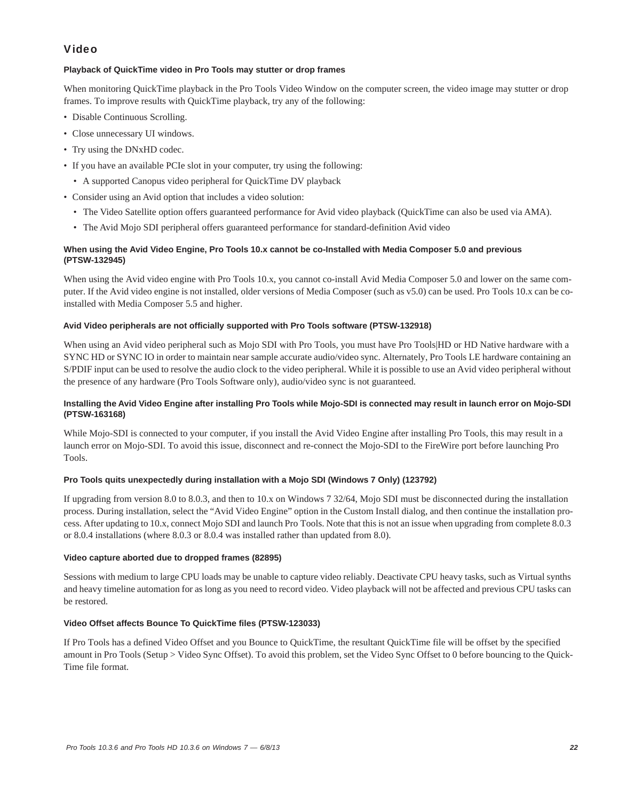# Video

# **Playback of QuickTime video in Pro Tools may stutter or drop frames**

When monitoring QuickTime playback in the Pro Tools Video Window on the computer screen, the video image may stutter or drop frames. To improve results with QuickTime playback, try any of the following:

- Disable Continuous Scrolling.
- Close unnecessary UI windows.
- Try using the DNxHD codec.
- If you have an available PCIe slot in your computer, try using the following:
- A supported Canopus video peripheral for QuickTime DV playback
- Consider using an Avid option that includes a video solution:
	- The Video Satellite option offers guaranteed performance for Avid video playback (QuickTime can also be used via AMA).
	- The Avid Mojo SDI peripheral offers guaranteed performance for standard-definition Avid video

# **When using the Avid Video Engine, Pro Tools 10.x cannot be co-Installed with Media Composer 5.0 and previous (PTSW-132945)**

When using the Avid video engine with Pro Tools 10.x, you cannot co-install Avid Media Composer 5.0 and lower on the same computer. If the Avid video engine is not installed, older versions of Media Composer (such as v5.0) can be used. Pro Tools 10.x can be coinstalled with Media Composer 5.5 and higher.

# **Avid Video peripherals are not officially supported with Pro Tools software (PTSW-132918)**

When using an Avid video peripheral such as Mojo SDI with Pro Tools, you must have Pro Tools|HD or HD Native hardware with a SYNC HD or SYNC IO in order to maintain near sample accurate audio/video sync. Alternately, Pro Tools LE hardware containing an S/PDIF input can be used to resolve the audio clock to the video peripheral. While it is possible to use an Avid video peripheral without the presence of any hardware (Pro Tools Software only), audio/video sync is not guaranteed.

# **Installing the Avid Video Engine after installing Pro Tools while Mojo-SDI is connected may result in launch error on Mojo-SDI (PTSW-163168)**

While Mojo-SDI is connected to your computer, if you install the Avid Video Engine after installing Pro Tools, this may result in a launch error on Mojo-SDI. To avoid this issue, disconnect and re-connect the Mojo-SDI to the FireWire port before launching Pro Tools.

# **Pro Tools quits unexpectedly during installation with a Mojo SDI (Windows 7 Only) (123792)**

If upgrading from version 8.0 to 8.0.3, and then to 10.x on Windows 7 32/64, Mojo SDI must be disconnected during the installation process. During installation, select the "Avid Video Engine" option in the Custom Install dialog, and then continue the installation process. After updating to 10.x, connect Mojo SDI and launch Pro Tools. Note that this is not an issue when upgrading from complete 8.0.3 or 8.0.4 installations (where 8.0.3 or 8.0.4 was installed rather than updated from 8.0).

# **Video capture aborted due to dropped frames (82895)**

Sessions with medium to large CPU loads may be unable to capture video reliably. Deactivate CPU heavy tasks, such as Virtual synths and heavy timeline automation for as long as you need to record video. Video playback will not be affected and previous CPU tasks can be restored.

# **Video Offset affects Bounce To QuickTime files (PTSW-123033)**

If Pro Tools has a defined Video Offset and you Bounce to QuickTime, the resultant QuickTime file will be offset by the specified amount in Pro Tools (Setup > Video Sync Offset). To avoid this problem, set the Video Sync Offset to 0 before bouncing to the Quick-Time file format.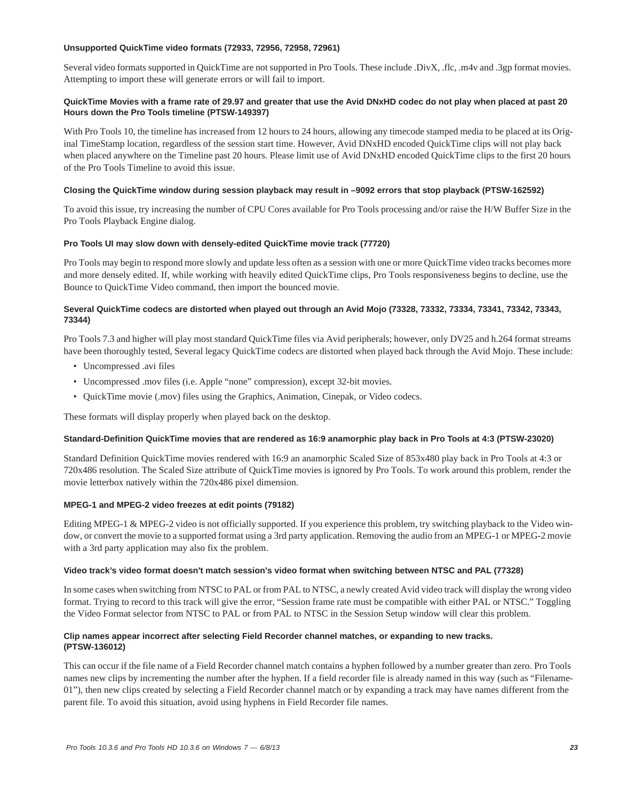### **Unsupported QuickTime video formats (72933, 72956, 72958, 72961)**

Several video formats supported in QuickTime are not supported in Pro Tools. These include .DivX, .flc, .m4v and .3gp format movies. Attempting to import these will generate errors or will fail to import.

# **QuickTime Movies with a frame rate of 29.97 and greater that use the Avid DNxHD codec do not play when placed at past 20 Hours down the Pro Tools timeline (PTSW-149397)**

With Pro Tools 10, the timeline has increased from 12 hours to 24 hours, allowing any timecode stamped media to be placed at its Original TimeStamp location, regardless of the session start time. However, Avid DNxHD encoded QuickTime clips will not play back when placed anywhere on the Timeline past 20 hours. Please limit use of Avid DNxHD encoded QuickTime clips to the first 20 hours of the Pro Tools Timeline to avoid this issue.

# **Closing the QuickTime window during session playback may result in –9092 errors that stop playback (PTSW-162592)**

To avoid this issue, try increasing the number of CPU Cores available for Pro Tools processing and/or raise the H/W Buffer Size in the Pro Tools Playback Engine dialog.

### **Pro Tools UI may slow down with densely-edited QuickTime movie track (77720)**

Pro Tools may begin to respond more slowly and update less often as a session with one or more QuickTime video tracks becomes more and more densely edited. If, while working with heavily edited QuickTime clips, Pro Tools responsiveness begins to decline, use the Bounce to QuickTime Video command, then import the bounced movie.

### **Several QuickTime codecs are distorted when played out through an Avid Mojo (73328, 73332, 73334, 73341, 73342, 73343, 73344)**

Pro Tools 7.3 and higher will play most standard QuickTime files via Avid peripherals; however, only DV25 and h.264 format streams have been thoroughly tested, Several legacy QuickTime codecs are distorted when played back through the Avid Mojo. These include:

- Uncompressed .avi files
- Uncompressed .mov files (i.e. Apple "none" compression), except 32-bit movies.
- QuickTime movie (.mov) files using the Graphics, Animation, Cinepak, or Video codecs.

These formats will display properly when played back on the desktop.

# **Standard-Definition QuickTime movies that are rendered as 16:9 anamorphic play back in Pro Tools at 4:3 (PTSW-23020)**

Standard Definition QuickTime movies rendered with 16:9 an anamorphic Scaled Size of 853x480 play back in Pro Tools at 4:3 or 720x486 resolution. The Scaled Size attribute of QuickTime movies is ignored by Pro Tools. To work around this problem, render the movie letterbox natively within the 720x486 pixel dimension.

# **MPEG-1 and MPEG-2 video freezes at edit points (79182)**

Editing MPEG-1 & MPEG-2 video is not officially supported. If you experience this problem, try switching playback to the Video window, or convert the movie to a supported format using a 3rd party application. Removing the audio from an MPEG-1 or MPEG-2 movie with a 3rd party application may also fix the problem.

# **Video track's video format doesn't match session's video format when switching between NTSC and PAL (77328)**

In some cases when switching from NTSC to PAL or from PAL to NTSC, a newly created Avid video track will display the wrong video format. Trying to record to this track will give the error, "Session frame rate must be compatible with either PAL or NTSC." Toggling the Video Format selector from NTSC to PAL or from PAL to NTSC in the Session Setup window will clear this problem.

# **Clip names appear incorrect after selecting Field Recorder channel matches, or expanding to new tracks. (PTSW-136012)**

This can occur if the file name of a Field Recorder channel match contains a hyphen followed by a number greater than zero. Pro Tools names new clips by incrementing the number after the hyphen. If a field recorder file is already named in this way (such as "Filename-01"), then new clips created by selecting a Field Recorder channel match or by expanding a track may have names different from the parent file. To avoid this situation, avoid using hyphens in Field Recorder file names.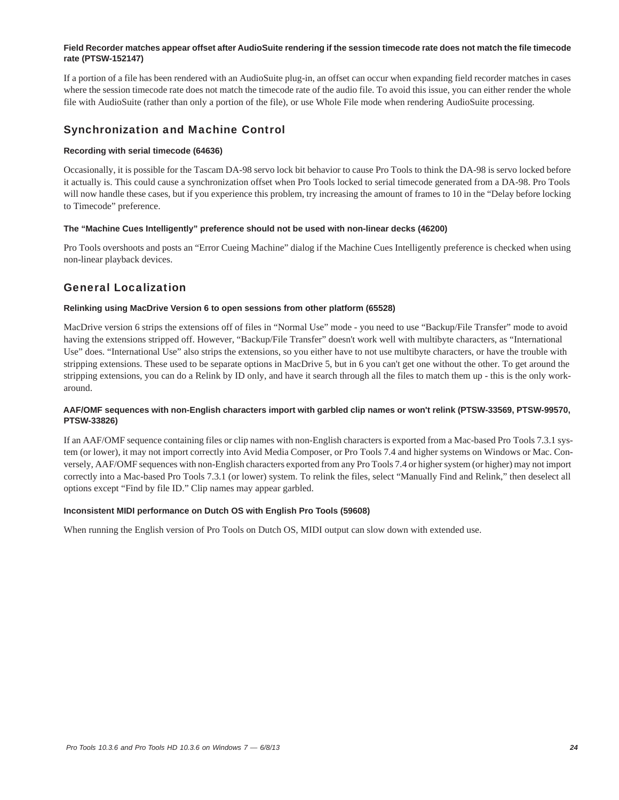### **Field Recorder matches appear offset after AudioSuite rendering if the session timecode rate does not match the file timecode rate (PTSW-152147)**

If a portion of a file has been rendered with an AudioSuite plug-in, an offset can occur when expanding field recorder matches in cases where the session timecode rate does not match the timecode rate of the audio file. To avoid this issue, you can either render the whole file with AudioSuite (rather than only a portion of the file), or use Whole File mode when rendering AudioSuite processing.

# Synchronization and Machine Control

# **Recording with serial timecode (64636)**

Occasionally, it is possible for the Tascam DA-98 servo lock bit behavior to cause Pro Tools to think the DA-98 is servo locked before it actually is. This could cause a synchronization offset when Pro Tools locked to serial timecode generated from a DA-98. Pro Tools will now handle these cases, but if you experience this problem, try increasing the amount of frames to 10 in the "Delay before locking to Timecode" preference.

### **The "Machine Cues Intelligently" preference should not be used with non-linear decks (46200)**

Pro Tools overshoots and posts an "Error Cueing Machine" dialog if the Machine Cues Intelligently preference is checked when using non-linear playback devices.

# General Localization

# **Relinking using MacDrive Version 6 to open sessions from other platform (65528)**

MacDrive version 6 strips the extensions off of files in "Normal Use" mode - you need to use "Backup/File Transfer" mode to avoid having the extensions stripped off. However, "Backup/File Transfer" doesn't work well with multibyte characters, as "International Use" does. "International Use" also strips the extensions, so you either have to not use multibyte characters, or have the trouble with stripping extensions. These used to be separate options in MacDrive 5, but in 6 you can't get one without the other. To get around the stripping extensions, you can do a Relink by ID only, and have it search through all the files to match them up - this is the only workaround.

# **AAF/OMF sequences with non-English characters import with garbled clip names or won't relink (PTSW-33569, PTSW-99570, PTSW-33826)**

If an AAF/OMF sequence containing files or clip names with non-English characters is exported from a Mac-based Pro Tools 7.3.1 system (or lower), it may not import correctly into Avid Media Composer, or Pro Tools 7.4 and higher systems on Windows or Mac. Conversely, AAF/OMF sequences with non-English characters exported from any Pro Tools 7.4 or higher system (or higher) may not import correctly into a Mac-based Pro Tools 7.3.1 (or lower) system. To relink the files, select "Manually Find and Relink," then deselect all options except "Find by file ID." Clip names may appear garbled.

# **Inconsistent MIDI performance on Dutch OS with English Pro Tools (59608)**

When running the English version of Pro Tools on Dutch OS, MIDI output can slow down with extended use.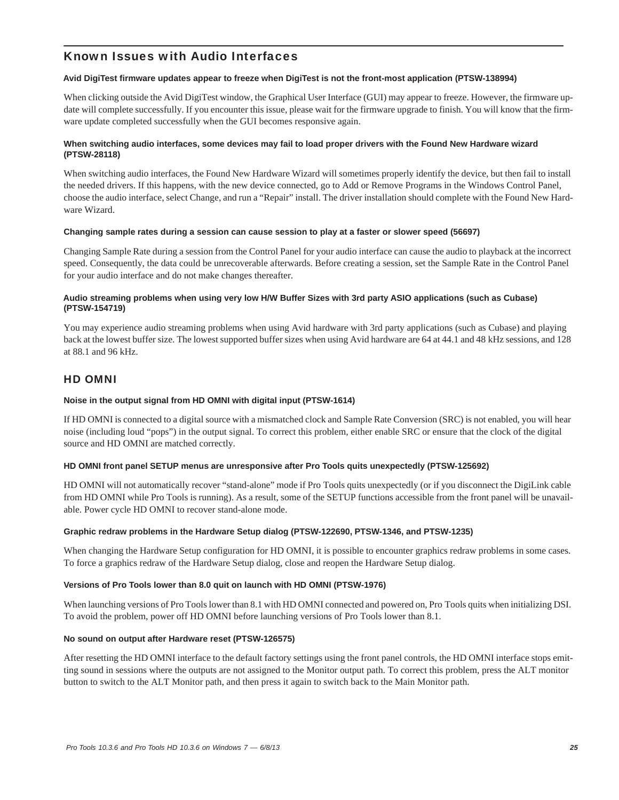# Known Issues with Audio Interfaces

# **Avid DigiTest firmware updates appear to freeze when DigiTest is not the front-most application (PTSW-138994)**

When clicking outside the Avid DigiTest window, the Graphical User Interface (GUI) may appear to freeze. However, the firmware update will complete successfully. If you encounter this issue, please wait for the firmware upgrade to finish. You will know that the firmware update completed successfully when the GUI becomes responsive again.

# **When switching audio interfaces, some devices may fail to load proper drivers with the Found New Hardware wizard (PTSW-28118)**

When switching audio interfaces, the Found New Hardware Wizard will sometimes properly identify the device, but then fail to install the needed drivers. If this happens, with the new device connected, go to Add or Remove Programs in the Windows Control Panel, choose the audio interface, select Change, and run a "Repair" install. The driver installation should complete with the Found New Hardware Wizard.

### **Changing sample rates during a session can cause session to play at a faster or slower speed (56697)**

Changing Sample Rate during a session from the Control Panel for your audio interface can cause the audio to playback at the incorrect speed. Consequently, the data could be unrecoverable afterwards. Before creating a session, set the Sample Rate in the Control Panel for your audio interface and do not make changes thereafter.

# **Audio streaming problems when using very low H/W Buffer Sizes with 3rd party ASIO applications (such as Cubase) (PTSW-154719)**

You may experience audio streaming problems when using Avid hardware with 3rd party applications (such as Cubase) and playing back at the lowest buffer size. The lowest supported buffer sizes when using Avid hardware are 64 at 44.1 and 48 kHz sessions, and 128 at 88.1 and 96 kHz.

# HD OMNI

# **Noise in the output signal from HD OMNI with digital input (PTSW-1614)**

If HD OMNI is connected to a digital source with a mismatched clock and Sample Rate Conversion (SRC) is not enabled, you will hear noise (including loud "pops") in the output signal. To correct this problem, either enable SRC or ensure that the clock of the digital source and HD OMNI are matched correctly.

# **HD OMNI front panel SETUP menus are unresponsive after Pro Tools quits unexpectedly (PTSW-125692)**

HD OMNI will not automatically recover "stand-alone" mode if Pro Tools quits unexpectedly (or if you disconnect the DigiLink cable from HD OMNI while Pro Tools is running). As a result, some of the SETUP functions accessible from the front panel will be unavailable. Power cycle HD OMNI to recover stand-alone mode.

# **Graphic redraw problems in the Hardware Setup dialog (PTSW-122690, PTSW-1346, and PTSW-1235)**

When changing the Hardware Setup configuration for HD OMNI, it is possible to encounter graphics redraw problems in some cases. To force a graphics redraw of the Hardware Setup dialog, close and reopen the Hardware Setup dialog.

# **Versions of Pro Tools lower than 8.0 quit on launch with HD OMNI (PTSW-1976)**

When launching versions of Pro Tools lower than 8.1 with HD OMNI connected and powered on, Pro Tools quits when initializing DSI. To avoid the problem, power off HD OMNI before launching versions of Pro Tools lower than 8.1.

#### **No sound on output after Hardware reset (PTSW-126575)**

After resetting the HD OMNI interface to the default factory settings using the front panel controls, the HD OMNI interface stops emitting sound in sessions where the outputs are not assigned to the Monitor output path. To correct this problem, press the ALT monitor button to switch to the ALT Monitor path, and then press it again to switch back to the Main Monitor path.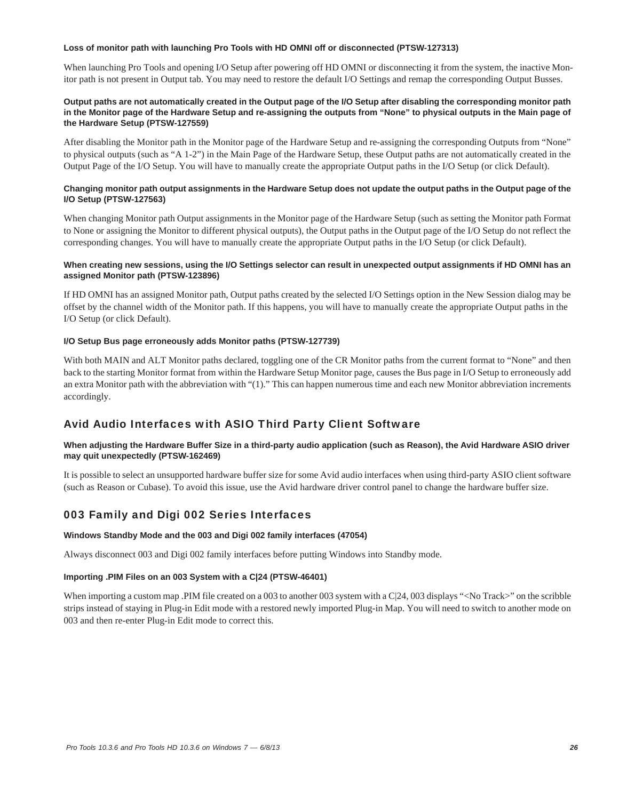### **Loss of monitor path with launching Pro Tools with HD OMNI off or disconnected (PTSW-127313)**

When launching Pro Tools and opening I/O Setup after powering off HD OMNI or disconnecting it from the system, the inactive Monitor path is not present in Output tab. You may need to restore the default I/O Settings and remap the corresponding Output Busses.

### **Output paths are not automatically created in the Output page of the I/O Setup after disabling the corresponding monitor path in the Monitor page of the Hardware Setup and re-assigning the outputs from "None" to physical outputs in the Main page of the Hardware Setup (PTSW-127559)**

After disabling the Monitor path in the Monitor page of the Hardware Setup and re-assigning the corresponding Outputs from "None" to physical outputs (such as "A 1-2") in the Main Page of the Hardware Setup, these Output paths are not automatically created in the Output Page of the I/O Setup. You will have to manually create the appropriate Output paths in the I/O Setup (or click Default).

# **Changing monitor path output assignments in the Hardware Setup does not update the output paths in the Output page of the I/O Setup (PTSW-127563)**

When changing Monitor path Output assignments in the Monitor page of the Hardware Setup (such as setting the Monitor path Format to None or assigning the Monitor to different physical outputs), the Output paths in the Output page of the I/O Setup do not reflect the corresponding changes. You will have to manually create the appropriate Output paths in the I/O Setup (or click Default).

### When creating new sessions, using the I/O Settings selector can result in unexpected output assignments if HD OMNI has an **assigned Monitor path (PTSW-123896)**

If HD OMNI has an assigned Monitor path, Output paths created by the selected I/O Settings option in the New Session dialog may be offset by the channel width of the Monitor path. If this happens, you will have to manually create the appropriate Output paths in the I/O Setup (or click Default).

# **I/O Setup Bus page erroneously adds Monitor paths (PTSW-127739)**

With both MAIN and ALT Monitor paths declared, toggling one of the CR Monitor paths from the current format to "None" and then back to the starting Monitor format from within the Hardware Setup Monitor page, causes the Bus page in I/O Setup to erroneously add an extra Monitor path with the abbreviation with "(1)." This can happen numerous time and each new Monitor abbreviation increments accordingly.

# Avid Audio Interfaces with ASIO Third Party Client Software

# **When adjusting the Hardware Buffer Size in a third-party audio application (such as Reason), the Avid Hardware ASIO driver may quit unexpectedly (PTSW-162469)**

It is possible to select an unsupported hardware buffer size for some Avid audio interfaces when using third-party ASIO client software (such as Reason or Cubase). To avoid this issue, use the Avid hardware driver control panel to change the hardware buffer size.

# 003 Family and Digi 002 Series Interfaces

# **Windows Standby Mode and the 003 and Digi 002 family interfaces (47054)**

Always disconnect 003 and Digi 002 family interfaces before putting Windows into Standby mode.

### **Importing .PIM Files on an 003 System with a C|24 (PTSW-46401)**

When importing a custom map .PIM file created on a 003 to another 003 system with a C|24, 003 displays "<No Track>" on the scribble strips instead of staying in Plug-in Edit mode with a restored newly imported Plug-in Map. You will need to switch to another mode on 003 and then re-enter Plug-in Edit mode to correct this.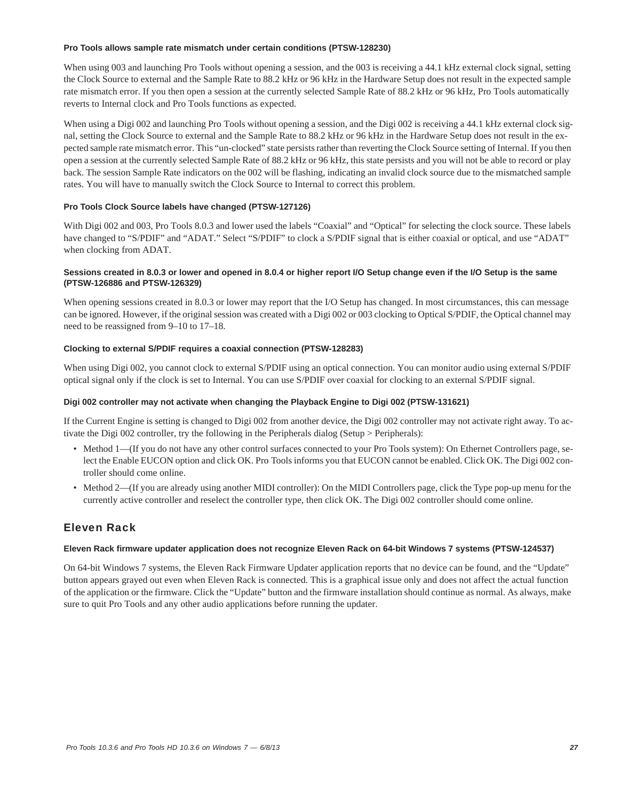### **Pro Tools allows sample rate mismatch under certain conditions (PTSW-128230)**

When using 003 and launching Pro Tools without opening a session, and the 003 is receiving a 44.1 kHz external clock signal, setting the Clock Source to external and the Sample Rate to 88.2 kHz or 96 kHz in the Hardware Setup does not result in the expected sample rate mismatch error. If you then open a session at the currently selected Sample Rate of 88.2 kHz or 96 kHz, Pro Tools automatically reverts to Internal clock and Pro Tools functions as expected.

When using a Digi 002 and launching Pro Tools without opening a session, and the Digi 002 is receiving a 44.1 kHz external clock signal, setting the Clock Source to external and the Sample Rate to 88.2 kHz or 96 kHz in the Hardware Setup does not result in the expected sample rate mismatch error. This "un-clocked" state persists rather than reverting the Clock Source setting of Internal. If you then open a session at the currently selected Sample Rate of 88.2 kHz or 96 kHz, this state persists and you will not be able to record or play back. The session Sample Rate indicators on the 002 will be flashing, indicating an invalid clock source due to the mismatched sample rates. You will have to manually switch the Clock Source to Internal to correct this problem.

# **Pro Tools Clock Source labels have changed (PTSW-127126)**

With Digi 002 and 003, Pro Tools 8.0.3 and lower used the labels "Coaxial" and "Optical" for selecting the clock source. These labels have changed to "S/PDIF" and "ADAT." Select "S/PDIF" to clock a S/PDIF signal that is either coaxial or optical, and use "ADAT" when clocking from ADAT.

# **Sessions created in 8.0.3 or lower and opened in 8.0.4 or higher report I/O Setup change even if the I/O Setup is the same (PTSW-126886 and PTSW-126329)**

When opening sessions created in 8.0.3 or lower may report that the I/O Setup has changed. In most circumstances, this can message can be ignored. However, if the original session was created with a Digi 002 or 003 clocking to Optical S/PDIF, the Optical channel may need to be reassigned from 9–10 to 17–18.

# **Clocking to external S/PDIF requires a coaxial connection (PTSW-128283)**

When using Digi 002, you cannot clock to external S/PDIF using an optical connection. You can monitor audio using external S/PDIF optical signal only if the clock is set to Internal. You can use S/PDIF over coaxial for clocking to an external S/PDIF signal.

# **Digi 002 controller may not activate when changing the Playback Engine to Digi 002 (PTSW-131621)**

If the Current Engine is setting is changed to Digi 002 from another device, the Digi 002 controller may not activate right away. To activate the Digi 002 controller, try the following in the Peripherals dialog (Setup > Peripherals):

- Method 1—(If you do not have any other control surfaces connected to your Pro Tools system): On Ethernet Controllers page, select the Enable EUCON option and click OK. Pro Tools informs you that EUCON cannot be enabled. Click OK. The Digi 002 controller should come online.
- Method 2—(If you are already using another MIDI controller): On the MIDI Controllers page, click the Type pop-up menu for the currently active controller and reselect the controller type, then click OK. The Digi 002 controller should come online.

# Eleven Rack

# **Eleven Rack firmware updater application does not recognize Eleven Rack on 64-bit Windows 7 systems (PTSW-124537)**

On 64-bit Windows 7 systems, the Eleven Rack Firmware Updater application reports that no device can be found, and the "Update" button appears grayed out even when Eleven Rack is connected. This is a graphical issue only and does not affect the actual function of the application or the firmware. Click the "Update" button and the firmware installation should continue as normal. As always, make sure to quit Pro Tools and any other audio applications before running the updater.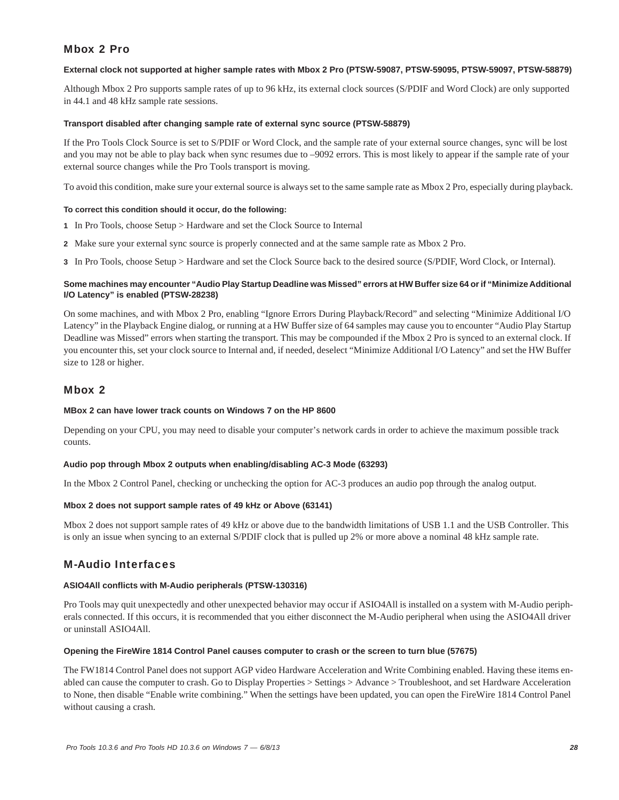# Mbox 2 Pro

### **External clock not supported at higher sample rates with Mbox 2 Pro (PTSW-59087, PTSW-59095, PTSW-59097, PTSW-58879)**

Although Mbox 2 Pro supports sample rates of up to 96 kHz, its external clock sources (S/PDIF and Word Clock) are only supported in 44.1 and 48 kHz sample rate sessions.

### **Transport disabled after changing sample rate of external sync source (PTSW-58879)**

If the Pro Tools Clock Source is set to S/PDIF or Word Clock, and the sample rate of your external source changes, sync will be lost and you may not be able to play back when sync resumes due to –9092 errors. This is most likely to appear if the sample rate of your external source changes while the Pro Tools transport is moving.

To avoid this condition, make sure your external source is always set to the same sample rate as Mbox 2 Pro, especially during playback.

### **To correct this condition should it occur, do the following:**

- **1** In Pro Tools, choose Setup > Hardware and set the Clock Source to Internal
- **2** Make sure your external sync source is properly connected and at the same sample rate as Mbox 2 Pro.
- **3** In Pro Tools, choose Setup > Hardware and set the Clock Source back to the desired source (S/PDIF, Word Clock, or Internal).

### **Some machines may encounter "Audio Play Startup Deadline was Missed" errors at HW Buffer size 64 or if "Minimize Additional I/O Latency" is enabled (PTSW-28238)**

On some machines, and with Mbox 2 Pro, enabling "Ignore Errors During Playback/Record" and selecting "Minimize Additional I/O Latency" in the Playback Engine dialog, or running at a HW Buffer size of 64 samples may cause you to encounter "Audio Play Startup Deadline was Missed" errors when starting the transport. This may be compounded if the Mbox 2 Pro is synced to an external clock. If you encounter this, set your clock source to Internal and, if needed, deselect "Minimize Additional I/O Latency" and set the HW Buffer size to 128 or higher.

# Mbox 2

# **MBox 2 can have lower track counts on Windows 7 on the HP 8600**

Depending on your CPU, you may need to disable your computer's network cards in order to achieve the maximum possible track counts.

#### **Audio pop through Mbox 2 outputs when enabling/disabling AC-3 Mode (63293)**

In the Mbox 2 Control Panel, checking or unchecking the option for AC-3 produces an audio pop through the analog output.

# **Mbox 2 does not support sample rates of 49 kHz or Above (63141)**

Mbox 2 does not support sample rates of 49 kHz or above due to the bandwidth limitations of USB 1.1 and the USB Controller. This is only an issue when syncing to an external S/PDIF clock that is pulled up 2% or more above a nominal 48 kHz sample rate.

# M-Audio Interfaces

#### **ASIO4All conflicts with M-Audio peripherals (PTSW-130316)**

Pro Tools may quit unexpectedly and other unexpected behavior may occur if ASIO4All is installed on a system with M-Audio peripherals connected. If this occurs, it is recommended that you either disconnect the M-Audio peripheral when using the ASIO4All driver or uninstall ASIO4All.

### **Opening the FireWire 1814 Control Panel causes computer to crash or the screen to turn blue (57675)**

The FW1814 Control Panel does not support AGP video Hardware Acceleration and Write Combining enabled. Having these items enabled can cause the computer to crash. Go to Display Properties > Settings > Advance > Troubleshoot, and set Hardware Acceleration to None, then disable "Enable write combining." When the settings have been updated, you can open the FireWire 1814 Control Panel without causing a crash.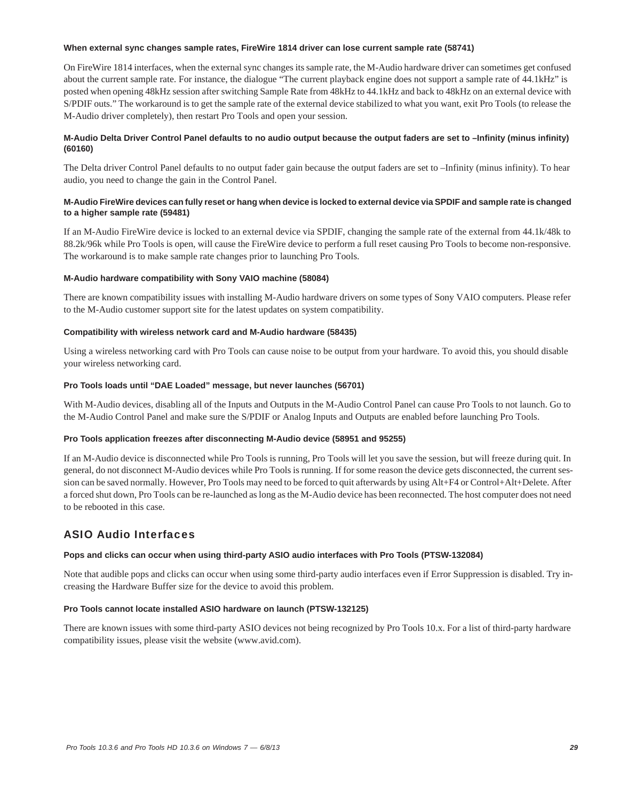### **When external sync changes sample rates, FireWire 1814 driver can lose current sample rate (58741)**

On FireWire 1814 interfaces, when the external sync changes its sample rate, the M-Audio hardware driver can sometimes get confused about the current sample rate. For instance, the dialogue "The current playback engine does not support a sample rate of 44.1kHz" is posted when opening 48kHz session after switching Sample Rate from 48kHz to 44.1kHz and back to 48kHz on an external device with S/PDIF outs." The workaround is to get the sample rate of the external device stabilized to what you want, exit Pro Tools (to release the M-Audio driver completely), then restart Pro Tools and open your session.

# **M-Audio Delta Driver Control Panel defaults to no audio output because the output faders are set to –Infinity (minus infinity) (60160)**

The Delta driver Control Panel defaults to no output fader gain because the output faders are set to –Infinity (minus infinity). To hear audio, you need to change the gain in the Control Panel.

### **M-Audio FireWire devices can fully reset or hang when device is locked to external device via SPDIF and sample rate is changed to a higher sample rate (59481)**

If an M-Audio FireWire device is locked to an external device via SPDIF, changing the sample rate of the external from 44.1k/48k to 88.2k/96k while Pro Tools is open, will cause the FireWire device to perform a full reset causing Pro Tools to become non-responsive. The workaround is to make sample rate changes prior to launching Pro Tools.

# **M-Audio hardware compatibility with Sony VAIO machine (58084)**

There are known compatibility issues with installing M-Audio hardware drivers on some types of Sony VAIO computers. Please refer to the M-Audio customer support site for the latest updates on system compatibility.

### **Compatibility with wireless network card and M-Audio hardware (58435)**

Using a wireless networking card with Pro Tools can cause noise to be output from your hardware. To avoid this, you should disable your wireless networking card.

### **Pro Tools loads until "DAE Loaded" message, but never launches (56701)**

With M-Audio devices, disabling all of the Inputs and Outputs in the M-Audio Control Panel can cause Pro Tools to not launch. Go to the M-Audio Control Panel and make sure the S/PDIF or Analog Inputs and Outputs are enabled before launching Pro Tools.

# **Pro Tools application freezes after disconnecting M-Audio device (58951 and 95255)**

If an M-Audio device is disconnected while Pro Tools is running, Pro Tools will let you save the session, but will freeze during quit. In general, do not disconnect M-Audio devices while Pro Tools is running. If for some reason the device gets disconnected, the current session can be saved normally. However, Pro Tools may need to be forced to quit afterwards by using Alt+F4 or Control+Alt+Delete. After a forced shut down, Pro Tools can be re-launched as long as the M-Audio device has been reconnected. The host computer does not need to be rebooted in this case.

# ASIO Audio Interfaces

# **Pops and clicks can occur when using third-party ASIO audio interfaces with Pro Tools (PTSW-132084)**

Note that audible pops and clicks can occur when using some third-party audio interfaces even if Error Suppression is disabled. Try increasing the Hardware Buffer size for the device to avoid this problem.

# **Pro Tools cannot locate installed ASIO hardware on launch (PTSW-132125)**

There are known issues with some third-party ASIO devices not being recognized by Pro Tools 10.x. For a list of third-party hardware compatibility issues, please visit the website (www.avid.com).